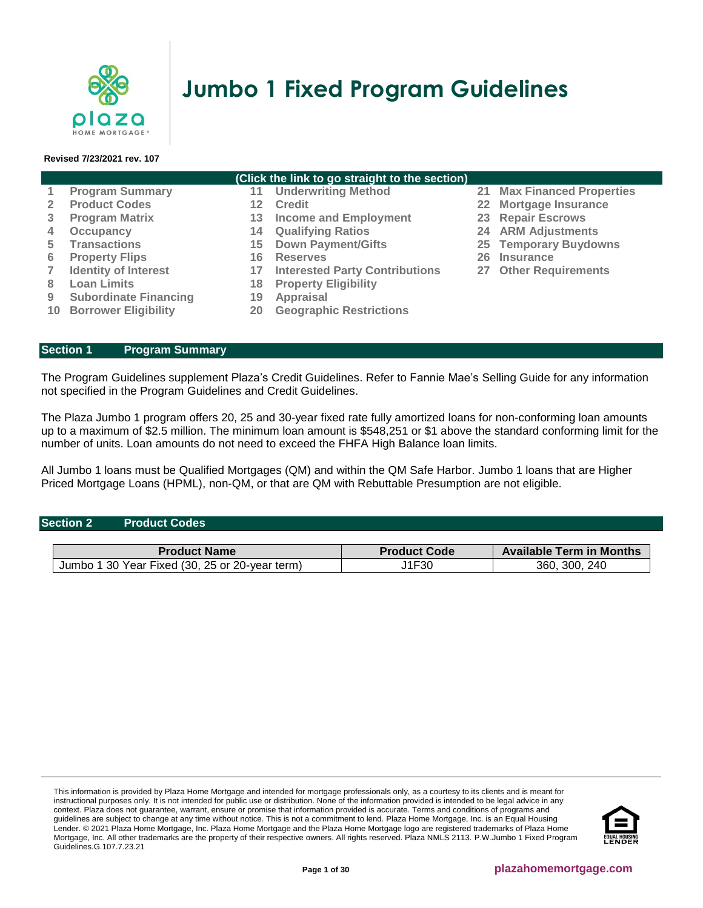

# **Jumbo 1 Fixed Program Guidelines**

#### **Revised 7/23/2021 rev. 107**

#### **(Click the link to go straight to the section)**

|   | <b>Program Summary</b>         |    | <b>Underwriting Method</b>            | 21 Max Financed Properties |
|---|--------------------------------|----|---------------------------------------|----------------------------|
|   | <b>Product Codes</b>           |    | <b>Credit</b>                         | 22 Mortgage Insurance      |
|   | <b>Program Matrix</b>          | 13 | <b>Income and Employment</b>          | 23 Repair Escrows          |
|   | Occupancy                      | 14 | <b>Qualifying Ratios</b>              | <b>24 ARM Adjustments</b>  |
| 5 | <b>Transactions</b>            | 15 | <b>Down Payment/Gifts</b>             | 25 Temporary Buydowns      |
| 6 | <b>Property Flips</b>          | 16 | <b>Reserves</b>                       | 26 Insurance               |
|   | <b>Identity of Interest</b>    | 17 | <b>Interested Party Contributions</b> | 27 Other Requirements      |
| 8 | <b>Loan Limits</b>             | 18 | <b>Property Eligibility</b>           |                            |
| 9 | <b>Subordinate Financing</b>   | 19 | <b>Appraisal</b>                      |                            |
|   | <b>10 Borrower Eligibility</b> | 20 | <b>Geographic Restrictions</b>        |                            |

# <span id="page-0-0"></span>**Section 1 [Program Summary](#page-0-0)**

The Program Guidelines supplement Plaza's Credit Guidelines. Refer to Fannie Mae's Selling Guide for any information not specified in the Program Guidelines and Credit Guidelines.

The Plaza Jumbo 1 program offers 20, 25 and 30-year fixed rate fully amortized loans for non-conforming loan amounts up to a maximum of \$2.5 million. The minimum loan amount is \$548,251 or \$1 above the standard conforming limit for the number of units. Loan amounts do not need to exceed the FHFA High Balance loan limits.

All Jumbo 1 loans must be Qualified Mortgages (QM) and within the QM Safe Harbor. Jumbo 1 loans that are Higher Priced Mortgage Loans (HPML), non-QM, or that are QM with Rebuttable Presumption are not eligible.

# <span id="page-0-1"></span>**Section 2 Product Codes**

| <b>Product Name</b>                             | <b>Product Code</b> | <b>Available Term in Months</b> |
|-------------------------------------------------|---------------------|---------------------------------|
| 30 Year Fixed (30, 25 or 20-year term)<br>Jumbc | J1F30               | 240<br>360.<br>300              |

This information is provided by Plaza Home Mortgage and intended for mortgage professionals only, as a courtesy to its clients and is meant for instructional purposes only. It is not intended for public use or distribution. None of the information provided is intended to be legal advice in any context. Plaza does not guarantee, warrant, ensure or promise that information provided is accurate. Terms and conditions of programs and guidelines are subject to change at any time without notice. This is not a commitment to lend. Plaza Home Mortgage, Inc. is an Equal Housing Lender. © 2021 Plaza Home Mortgage, Inc. Plaza Home Mortgage and the Plaza Home Mortgage logo are registered trademarks of Plaza Home Mortgage, Inc. All other trademarks are the property of their respective owners. All rights reserved. Plaza NMLS 2113. P.W.Jumbo 1 Fixed Program Guidelines.G.107.7.23.21

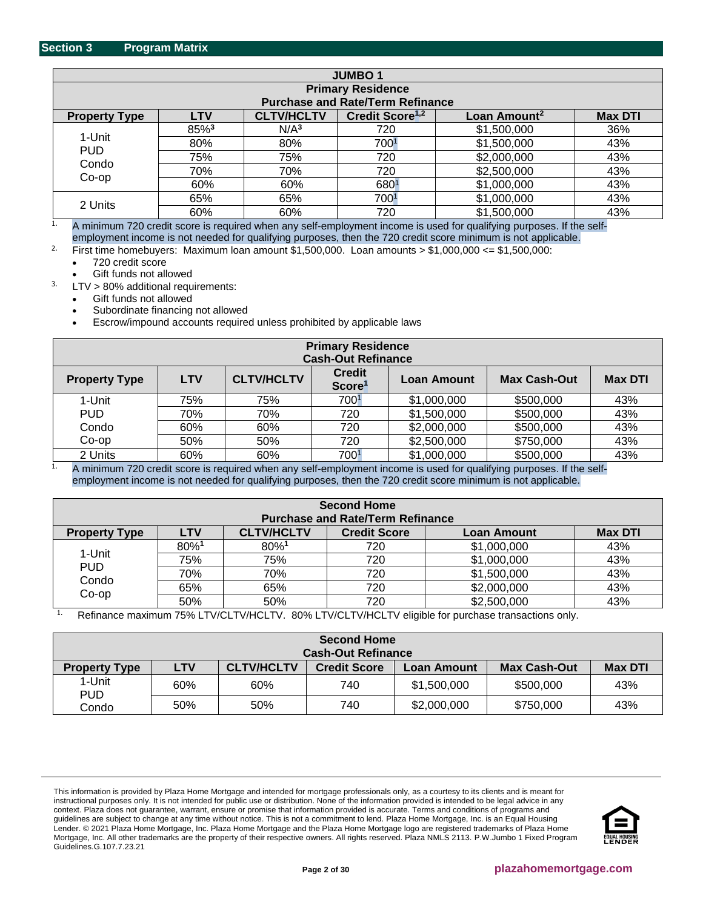<span id="page-1-0"></span>

| <b>JUMBO1</b>        |            |                   |                                         |                          |                |
|----------------------|------------|-------------------|-----------------------------------------|--------------------------|----------------|
|                      |            |                   | <b>Primary Residence</b>                |                          |                |
|                      |            |                   | <b>Purchase and Rate/Term Refinance</b> |                          |                |
| <b>Property Type</b> | <b>LTV</b> | <b>CLTV/HCLTV</b> | Credit Score <sup>1,2</sup>             | Loan Amount <sup>2</sup> | <b>Max DTI</b> |
|                      | 85%3       | N/A <sup>3</sup>  | 720                                     | \$1,500,000              | 36%            |
| 1-Unit               | 80%        | 80%               | 7001                                    | \$1,500,000              | 43%            |
| <b>PUD</b><br>Condo  | 75%        | 75%               | 720                                     | \$2,000,000              | 43%            |
| Co-op                | 70%        | 70%               | 720                                     | \$2,500,000              | 43%            |
|                      | 60%        | 60%               | 6801                                    | \$1,000,000              | 43%            |
|                      | 65%        | 65%               | 7001                                    | \$1,000,000              | 43%            |
| 2 Units              | 60%        | 60%               | 720                                     | \$1,500,000              | 43%            |

<sup>1.</sup> A minimum 720 credit score is required when any self-employment income is used for qualifying purposes. If the selfemployment income is not needed for qualifying purposes, then the 720 credit score minimum is not applicable.

<sup>2.</sup> First time homebuyers: Maximum loan amount  $$1,500,000$ . Loan amounts  $> $1,000,000 \le $1,500,000$ : • 720 credit score

Gift funds not allowed

 $3.$  LTV > 80% additional requirements:

- Gift funds not allowed
- Subordinate financing not allowed

• Escrow/impound accounts required unless prohibited by applicable laws

| <b>Primary Residence</b><br><b>Cash-Out Refinance</b> |            |                                        |                                     |                                                   |                                   |                |
|-------------------------------------------------------|------------|----------------------------------------|-------------------------------------|---------------------------------------------------|-----------------------------------|----------------|
| <b>Property Type</b>                                  | <b>LTV</b> | <b>CLTV/HCLTV</b>                      | <b>Credit</b><br>Score <sup>1</sup> | <b>Loan Amount</b>                                | <b>Max Cash-Out</b>               | <b>Max DTI</b> |
| 1-Unit                                                | 75%        | 75%                                    | 7001                                | \$1,000,000                                       | \$500,000                         | 43%            |
| <b>PUD</b>                                            | 70%        | 70%                                    | 720                                 | \$1,500,000                                       | \$500,000                         | 43%            |
| Condo                                                 | 60%        | 60%                                    | 720                                 | \$2,000,000                                       | \$500,000                         | 43%            |
| $Co$ -op                                              | 50%        | 50%                                    | 720                                 | \$2,500,000                                       | \$750,000                         | 43%            |
| 2 Units<br>. .<br>---                                 | 60%        | 60%<br>the contract of the contract of | 7001<br>$\cdot$<br>$\sim$ $\sim$    | \$1,000,000<br>$\sim$ $\sim$ $\sim$ $\sim$ $\sim$ | \$500,000<br>$\cdots$<br>$\cdots$ | 43%<br>$\sim$  |

1. A minimum 720 credit score is required when any self-employment income is used for qualifying purposes. If the selfemployment income is not needed for qualifying purposes, then the 720 credit score minimum is not applicable.

| <b>Second Home</b><br><b>Purchase and Rate/Term Refinance</b> |            |                   |                     |                    |                |
|---------------------------------------------------------------|------------|-------------------|---------------------|--------------------|----------------|
| <b>Property Type</b>                                          | <b>LTV</b> | <b>CLTV/HCLTV</b> | <b>Credit Score</b> | <b>Loan Amount</b> | <b>Max DTI</b> |
|                                                               | 80%        | 80%1              | 720                 | \$1,000,000        | 43%            |
| 1-Unit                                                        | 75%        | 75%               | 720                 | \$1,000,000        | 43%            |
| <b>PUD</b><br>Condo                                           | 70%        | 70%               | 720                 | \$1,500,000        | 43%            |
| $Co$ -op                                                      | 65%        | 65%               | 720                 | \$2,000,000        | 43%            |
|                                                               | 50%        | 50%               | 720                 | \$2,500,000        | 43%            |

<sup>1.</sup> Refinance maximum 75% LTV/CLTV/HCLTV. 80% LTV/CLTV/HCLTV eligible for purchase transactions only.

| <b>Second Home</b><br><b>Cash-Out Refinance</b> |            |                   |                     |                      |                     |                |
|-------------------------------------------------|------------|-------------------|---------------------|----------------------|---------------------|----------------|
| <b>Property Type</b>                            | <b>LTV</b> | <b>CLTV/HCLTV</b> | <b>Credit Score</b> | Loan Amount <b>∂</b> | <b>Max Cash-Out</b> | <b>Max DTI</b> |
| 1-Unit<br><b>PUD</b>                            | 60%        | 60%               | 740                 | \$1,500,000          | \$500,000           | 43%            |
| Condo                                           | 50%        | 50%               | 740                 | \$2,000,000          | \$750,000           | 43%            |

This information is provided by Plaza Home Mortgage and intended for mortgage professionals only, as a courtesy to its clients and is meant for instructional purposes only. It is not intended for public use or distribution. None of the information provided is intended to be legal advice in any context. Plaza does not guarantee, warrant, ensure or promise that information provided is accurate. Terms and conditions of programs and guidelines are subject to change at any time without notice. This is not a commitment to lend. Plaza Home Mortgage, Inc. is an Equal Housing Lender. © 2021 Plaza Home Mortgage, Inc. Plaza Home Mortgage and the Plaza Home Mortgage logo are registered trademarks of Plaza Home Mortgage, Inc. All other trademarks are the property of their respective owners. All rights reserved. Plaza NMLS 2113. P.W.Jumbo 1 Fixed Program Guidelines.G.107.7.23.21

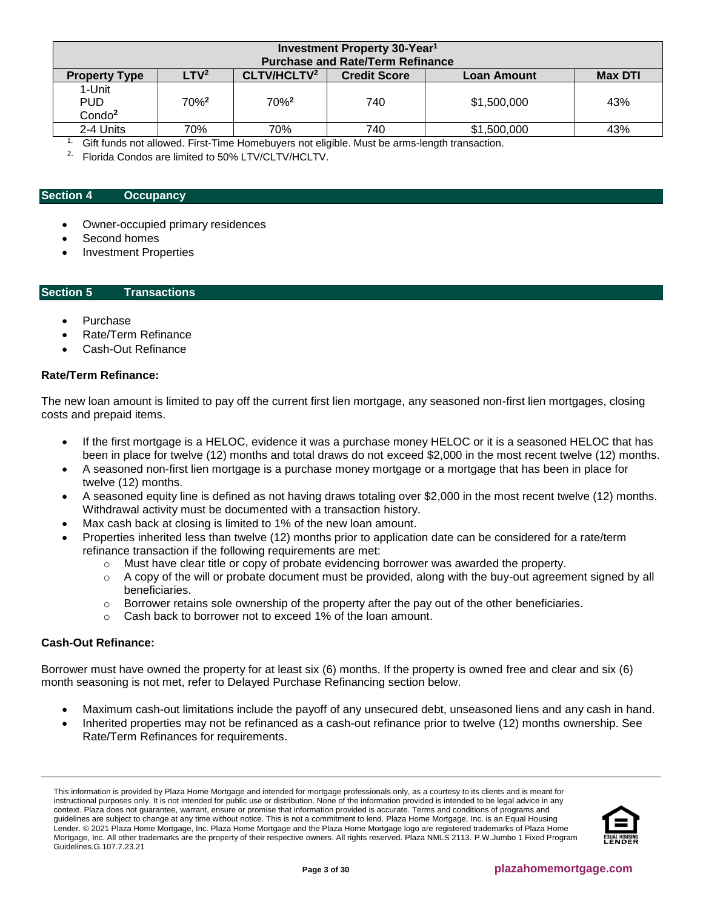| Investment Property 30-Year <sup>1</sup>   |                                                                                                                                                |                  |     |             |     |  |
|--------------------------------------------|------------------------------------------------------------------------------------------------------------------------------------------------|------------------|-----|-------------|-----|--|
| <b>Property Type</b>                       | <b>Purchase and Rate/Term Refinance</b><br>CLTV/HCLTV <sup>2</sup><br>LTV <sup>2</sup><br><b>Credit Score</b><br><b>Max DTI</b><br>Loan Amount |                  |     |             |     |  |
| 1-Unit<br><b>PUD</b><br>Condo <sup>2</sup> | $70%^{2}$                                                                                                                                      | 70% <sup>2</sup> | 740 | \$1,500,000 | 43% |  |
| 2-4 Units                                  | 70%                                                                                                                                            | 70%              | 740 | \$1,500,000 | 43% |  |

<sup>1.</sup> Gift funds not allowed. First-Time Homebuyers not eligible. Must be arms-length transaction.

<sup>2.</sup> Florida Condos are limited to 50% LTV/CLTV/HCLTV.

#### <span id="page-2-0"></span>**Section 4 [Occupancy](#page-6-0)**

- Owner-occupied primary residences
- Second homes
- Investment Properties

#### <span id="page-2-1"></span>**Section 5 Transactions**

- Purchase
- Rate/Term Refinance
- Cash-Out Refinance

#### **Rate/Term Refinance:**

The new loan amount is limited to pay off the current first lien mortgage, any seasoned non-first lien mortgages, closing costs and prepaid items.

- If the first mortgage is a HELOC, evidence it was a purchase money HELOC or it is a seasoned HELOC that has been in place for twelve (12) months and total draws do not exceed \$2,000 in the most recent twelve (12) months.
- A seasoned non-first lien mortgage is a purchase money mortgage or a mortgage that has been in place for twelve (12) months.
- A seasoned equity line is defined as not having draws totaling over \$2,000 in the most recent twelve (12) months. Withdrawal activity must be documented with a transaction history.
- Max cash back at closing is limited to 1% of the new loan amount.
- Properties inherited less than twelve (12) months prior to application date can be considered for a rate/term refinance transaction if the following requirements are met:
	- $\circ$  Must have clear title or copy of probate evidencing borrower was awarded the property.
	- $\circ$  A copy of the will or probate document must be provided, along with the buy-out agreement signed by all beneficiaries.
	- $\circ$  Borrower retains sole ownership of the property after the pay out of the other beneficiaries.
	- o Cash back to borrower not to exceed 1% of the loan amount.

# **Cash-Out Refinance:**

Borrower must have owned the property for at least six (6) months. If the property is owned free and clear and six (6) month seasoning is not met, refer to Delayed Purchase Refinancing section below.

- Maximum cash-out limitations include the payoff of any unsecured debt, unseasoned liens and any cash in hand.
- Inherited properties may not be refinanced as a cash-out refinance prior to twelve (12) months ownership. See Rate/Term Refinances for requirements.

This information is provided by Plaza Home Mortgage and intended for mortgage professionals only, as a courtesy to its clients and is meant for instructional purposes only. It is not intended for public use or distribution. None of the information provided is intended to be legal advice in any context. Plaza does not guarantee, warrant, ensure or promise that information provided is accurate. Terms and conditions of programs and guidelines are subject to change at any time without notice. This is not a commitment to lend. Plaza Home Mortgage, Inc. is an Equal Housing Lender. © 2021 Plaza Home Mortgage, Inc. Plaza Home Mortgage and the Plaza Home Mortgage logo are registered trademarks of Plaza Home Mortgage, Inc. All other trademarks are the property of their respective owners. All rights reserved. Plaza NMLS 2113. P.W.Jumbo 1 Fixed Program Guidelines.G.107.7.23.21

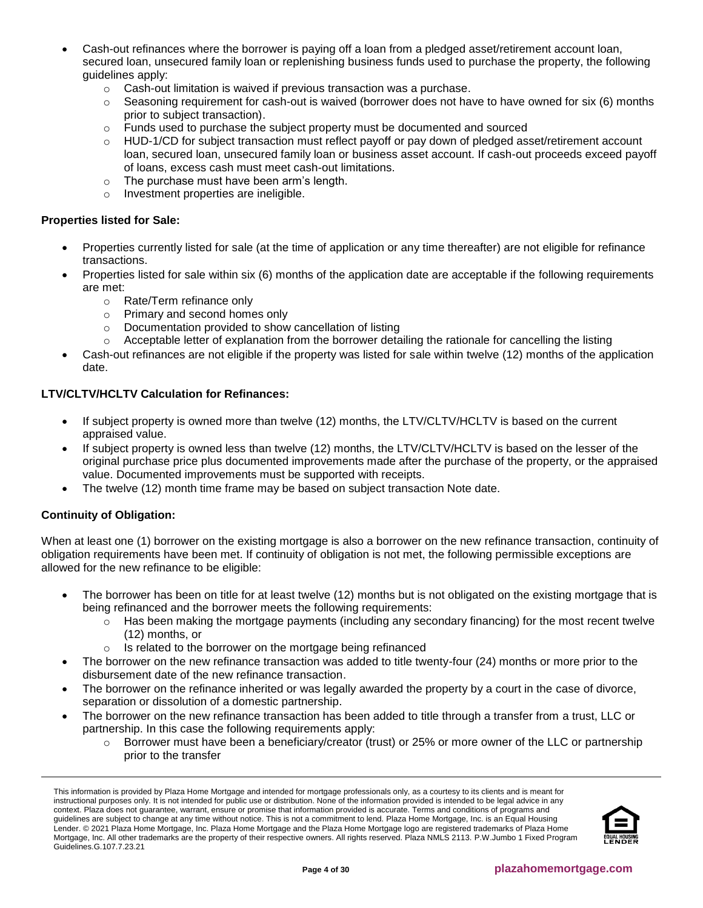- Cash-out refinances where the borrower is paying off a loan from a pledged asset/retirement account loan, secured loan, unsecured family loan or replenishing business funds used to purchase the property, the following guidelines apply:
	- o Cash-out limitation is waived if previous transaction was a purchase.
	- $\circ$  Seasoning requirement for cash-out is waived (borrower does not have to have owned for six (6) months prior to subject transaction).
	- $\circ$  Funds used to purchase the subject property must be documented and sourced
	- $\circ$  HUD-1/CD for subject transaction must reflect payoff or pay down of pledged asset/retirement account loan, secured loan, unsecured family loan or business asset account. If cash-out proceeds exceed payoff of loans, excess cash must meet cash-out limitations.
	- o The purchase must have been arm's length.
	- o Investment properties are ineligible.

# **Properties listed for Sale:**

- Properties currently listed for sale (at the time of application or any time thereafter) are not eligible for refinance transactions.
- Properties listed for sale within six (6) months of the application date are acceptable if the following requirements are met:
	- o Rate/Term refinance only
	- o Primary and second homes only
	- o Documentation provided to show cancellation of listing
	- $\circ$  Acceptable letter of explanation from the borrower detailing the rationale for cancelling the listing
- Cash-out refinances are not eligible if the property was listed for sale within twelve (12) months of the application date.

# **LTV/CLTV/HCLTV Calculation for Refinances:**

- If subject property is owned more than twelve (12) months, the LTV/CLTV/HCLTV is based on the current appraised value.
- If subject property is owned less than twelve (12) months, the LTV/CLTV/HCLTV is based on the lesser of the original purchase price plus documented improvements made after the purchase of the property, or the appraised value. Documented improvements must be supported with receipts.
- The twelve (12) month time frame may be based on subject transaction Note date.

# **Continuity of Obligation:**

When at least one (1) borrower on the existing mortgage is also a borrower on the new refinance transaction, continuity of obligation requirements have been met. If continuity of obligation is not met, the following permissible exceptions are allowed for the new refinance to be eligible:

- The borrower has been on title for at least twelve (12) months but is not obligated on the existing mortgage that is being refinanced and the borrower meets the following requirements:
	- o Has been making the mortgage payments (including any secondary financing) for the most recent twelve (12) months, or
	- o Is related to the borrower on the mortgage being refinanced
- The borrower on the new refinance transaction was added to title twenty-four (24) months or more prior to the disbursement date of the new refinance transaction.
- The borrower on the refinance inherited or was legally awarded the property by a court in the case of divorce, separation or dissolution of a domestic partnership.
- The borrower on the new refinance transaction has been added to title through a transfer from a trust, LLC or partnership. In this case the following requirements apply:
	- $\circ$  Borrower must have been a beneficiary/creator (trust) or 25% or more owner of the LLC or partnership prior to the transfer

This information is provided by Plaza Home Mortgage and intended for mortgage professionals only, as a courtesy to its clients and is meant for instructional purposes only. It is not intended for public use or distribution. None of the information provided is intended to be legal advice in any context. Plaza does not guarantee, warrant, ensure or promise that information provided is accurate. Terms and conditions of programs and guidelines are subject to change at any time without notice. This is not a commitment to lend. Plaza Home Mortgage, Inc. is an Equal Housing Lender. © 2021 Plaza Home Mortgage, Inc. Plaza Home Mortgage and the Plaza Home Mortgage logo are registered trademarks of Plaza Home Mortgage, Inc. All other trademarks are the property of their respective owners. All rights reserved. Plaza NMLS 2113. P.W.Jumbo 1 Fixed Program Guidelines.G.107.7.23.21

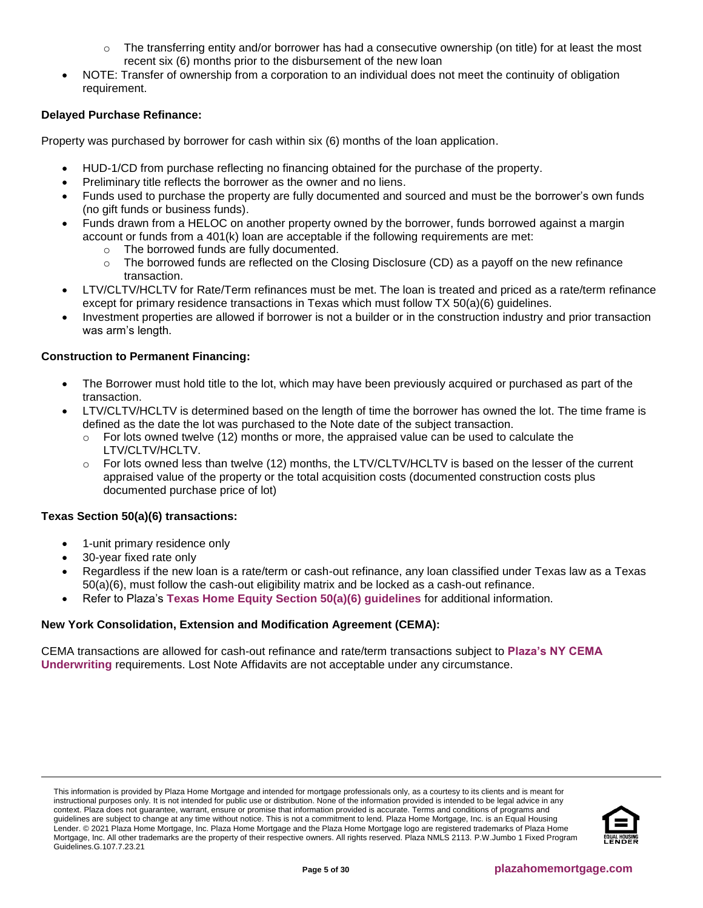- The transferring entity and/or borrower has had a consecutive ownership (on title) for at least the most recent six (6) months prior to the disbursement of the new loan
- NOTE: Transfer of ownership from a corporation to an individual does not meet the continuity of obligation requirement.

# **Delayed Purchase Refinance:**

Property was purchased by borrower for cash within six (6) months of the loan application.

- HUD-1/CD from purchase reflecting no financing obtained for the purchase of the property.
- Preliminary title reflects the borrower as the owner and no liens.
- Funds used to purchase the property are fully documented and sourced and must be the borrower's own funds (no gift funds or business funds).
- Funds drawn from a HELOC on another property owned by the borrower, funds borrowed against a margin account or funds from a 401(k) loan are acceptable if the following requirements are met:
	- o The borrowed funds are fully documented.
	- The borrowed funds are reflected on the Closing Disclosure (CD) as a payoff on the new refinance transaction.
- LTV/CLTV/HCLTV for Rate/Term refinances must be met. The loan is treated and priced as a rate/term refinance except for primary residence transactions in Texas which must follow TX 50(a)(6) guidelines.
- Investment properties are allowed if borrower is not a builder or in the construction industry and prior transaction was arm's length.

# **Construction to Permanent Financing:**

- The Borrower must hold title to the lot, which may have been previously acquired or purchased as part of the transaction.
- LTV/CLTV/HCLTV is determined based on the length of time the borrower has owned the lot. The time frame is defined as the date the lot was purchased to the Note date of the subject transaction.
	- $\circ$  For lots owned twelve (12) months or more, the appraised value can be used to calculate the LTV/CLTV/HCLTV.
	- $\circ$  For lots owned less than twelve (12) months, the LTV/CLTV/HCLTV is based on the lesser of the current appraised value of the property or the total acquisition costs (documented construction costs plus documented purchase price of lot)

# **Texas Section 50(a)(6) transactions:**

- 1-unit primary residence only
- 30-year fixed rate only
- Regardless if the new loan is a rate/term or cash-out refinance, any loan classified under Texas law as a Texas 50(a)(6), must follow the cash-out eligibility matrix and be locked as a cash-out refinance.
- Refer to Plaza's **[Texas Home Equity Section 50\(a\)\(6\) guidelines](https://resourcecenter.plazahomemortgage.com/phmidocpublisher.nsf/All/398C9C3CD1AEE982072579CF0070FEBB?OpenDocument)** for additional information.

# **New York Consolidation, Extension and Modification Agreement (CEMA):**

CEMA transactions are allowed for cash-out refinance and rate/term transactions subject to **[Plaza's NY CEMA](https://resourcecenter.plazahomemortgage.com/phmidocpublisher.nsf/All/9384F0C91F00A1C088257F630077E55B?OpenDocument)  [Underwriting](https://resourcecenter.plazahomemortgage.com/phmidocpublisher.nsf/All/9384F0C91F00A1C088257F630077E55B?OpenDocument)** requirements. Lost Note Affidavits are not acceptable under any circumstance.

This information is provided by Plaza Home Mortgage and intended for mortgage professionals only, as a courtesy to its clients and is meant for instructional purposes only. It is not intended for public use or distribution. None of the information provided is intended to be legal advice in any context. Plaza does not guarantee, warrant, ensure or promise that information provided is accurate. Terms and conditions of programs and guidelines are subject to change at any time without notice. This is not a commitment to lend. Plaza Home Mortgage, Inc. is an Equal Housing Lender. © 2021 Plaza Home Mortgage, Inc. Plaza Home Mortgage and the Plaza Home Mortgage logo are registered trademarks of Plaza Home Mortgage, Inc. All other trademarks are the property of their respective owners. All rights reserved. Plaza NMLS 2113. P.W.Jumbo 1 Fixed Program Guidelines.G.107.7.23.21

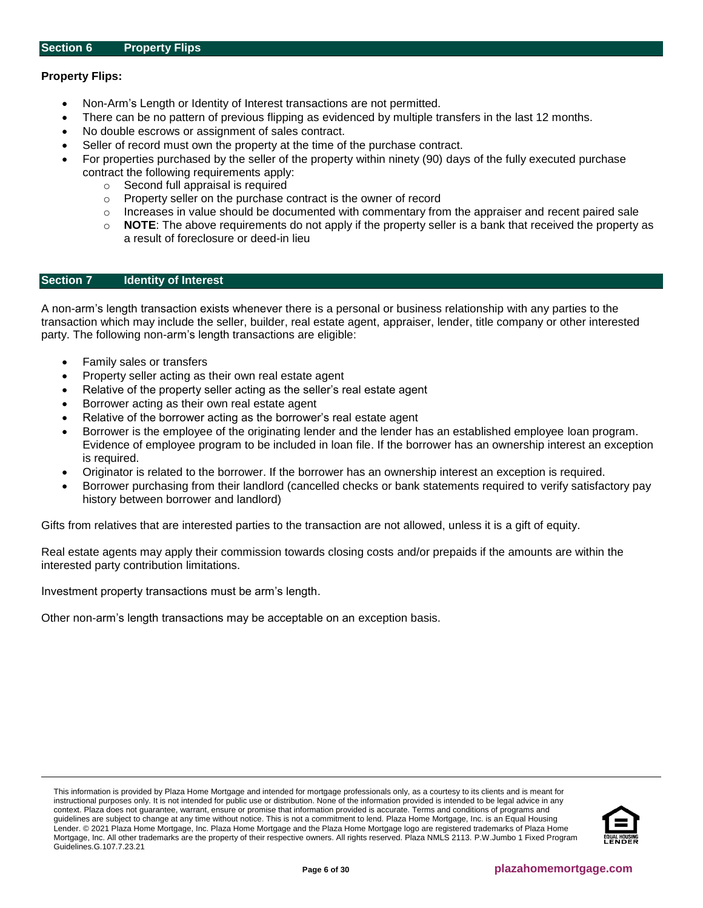# <span id="page-5-0"></span>**Property Flips:**

- Non-Arm's Length or Identity of Interest transactions are not permitted.
- There can be no pattern of previous flipping as evidenced by multiple transfers in the last 12 months.
- No double escrows or assignment of sales contract.
- Seller of record must own the property at the time of the purchase contract.
- For properties purchased by the seller of the property within ninety (90) days of the fully executed purchase contract the following requirements apply:
	- o Second full appraisal is required
	- o Property seller on the purchase contract is the owner of record
	- $\circ$  Increases in value should be documented with commentary from the appraiser and recent paired sale
	- o **NOTE**: The above requirements do not apply if the property seller is a bank that received the property as a result of foreclosure or deed-in lieu

#### <span id="page-5-1"></span>**Section 7 Identity of Interest**

A non-arm's length transaction exists whenever there is a personal or business relationship with any parties to the transaction which may include the seller, builder, real estate agent, appraiser, lender, title company or other interested party. The following non-arm's length transactions are eligible:

- Family sales or transfers
- Property seller acting as their own real estate agent
- Relative of the property seller acting as the seller's real estate agent
- Borrower acting as their own real estate agent
- Relative of the borrower acting as the borrower's real estate agent
- Borrower is the employee of the originating lender and the lender has an established employee loan program. Evidence of employee program to be included in loan file. If the borrower has an ownership interest an exception is required.
- Originator is related to the borrower. If the borrower has an ownership interest an exception is required.
- Borrower purchasing from their landlord (cancelled checks or bank statements required to verify satisfactory pay history between borrower and landlord)

Gifts from relatives that are interested parties to the transaction are not allowed, unless it is a gift of equity.

Real estate agents may apply their commission towards closing costs and/or prepaids if the amounts are within the interested party contribution limitations.

Investment property transactions must be arm's length.

Other non-arm's length transactions may be acceptable on an exception basis.

This information is provided by Plaza Home Mortgage and intended for mortgage professionals only, as a courtesy to its clients and is meant for instructional purposes only. It is not intended for public use or distribution. None of the information provided is intended to be legal advice in any context. Plaza does not guarantee, warrant, ensure or promise that information provided is accurate. Terms and conditions of programs and guidelines are subject to change at any time without notice. This is not a commitment to lend. Plaza Home Mortgage, Inc. is an Equal Housing Lender. © 2021 Plaza Home Mortgage, Inc. Plaza Home Mortgage and the Plaza Home Mortgage logo are registered trademarks of Plaza Home Mortgage, Inc. All other trademarks are the property of their respective owners. All rights reserved. Plaza NMLS 2113. P.W.Jumbo 1 Fixed Program Guidelines.G.107.7.23.21

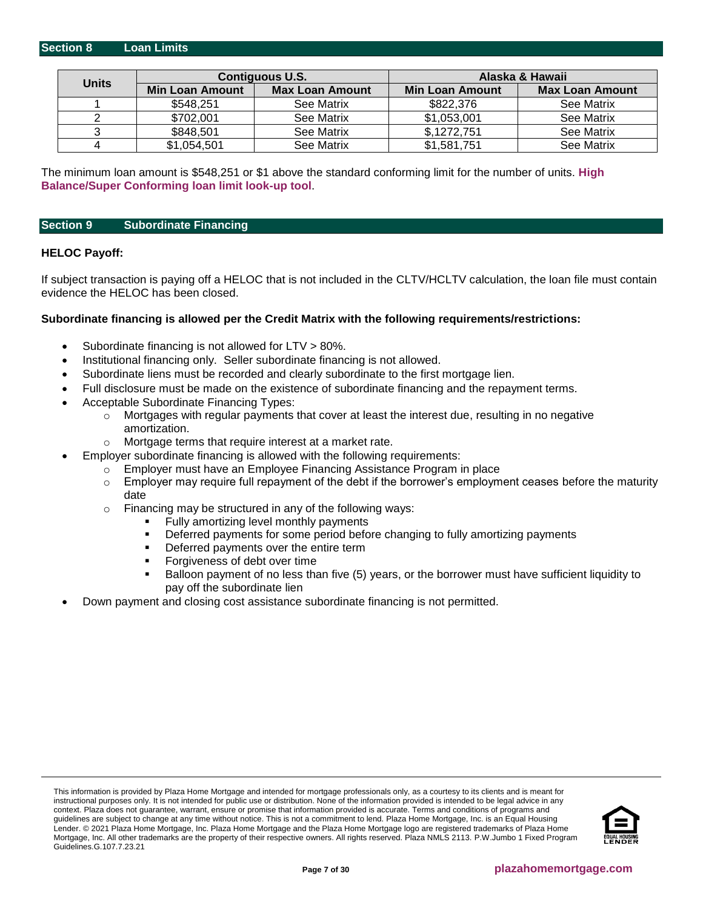<span id="page-6-0"></span>

|              |                 | <b>Contiguous U.S.</b> | Alaska & Hawaii        |                        |  |
|--------------|-----------------|------------------------|------------------------|------------------------|--|
| <b>Units</b> | Min Loan Amount | <b>Max Loan Amount</b> | <b>Min Loan Amount</b> | <b>Max Loan Amount</b> |  |
|              | \$548,251       | See Matrix             | \$822,376              | See Matrix             |  |
|              | \$702,001       | See Matrix             | \$1,053,001            | See Matrix             |  |
|              | \$848,501       | See Matrix             | \$,1272,751            | See Matrix             |  |
|              | \$1,054,501     | See Matrix             | \$1,581,751            | See Matrix             |  |

The minimum loan amount is \$548,251 or \$1 above the standard conforming limit for the number of units. **[High](https://www.fanniemae.com/singlefamily/loan-limits)  [Balance/Super Conforming loan limit look-up tool](https://www.fanniemae.com/singlefamily/loan-limits)**.

#### <span id="page-6-1"></span>**Section 9 Subordinate Financing**

#### **HELOC Payoff:**

If subject transaction is paying off a HELOC that is not included in the CLTV/HCLTV calculation, the loan file must contain evidence the HELOC has been closed.

#### **Subordinate financing is allowed per the Credit Matrix with the following requirements/restrictions:**

- Subordinate financing is not allowed for LTV > 80%.
- Institutional financing only. Seller subordinate financing is not allowed.
- Subordinate liens must be recorded and clearly subordinate to the first mortgage lien.
- Full disclosure must be made on the existence of subordinate financing and the repayment terms.
- Acceptable Subordinate Financing Types:
	- $\circ$  Mortgages with regular payments that cover at least the interest due, resulting in no negative amortization.
	- o Mortgage terms that require interest at a market rate.
- Employer subordinate financing is allowed with the following requirements:
	- Employer must have an Employee Financing Assistance Program in place
		- $\circ$  Employer may require full repayment of the debt if the borrower's employment ceases before the maturity date
	- $\circ$  Financing may be structured in any of the following ways:
		- Fully amortizing level monthly payments
		- **•** Deferred payments for some period before changing to fully amortizing payments
		- **•** Deferred payments over the entire term
		- Forgiveness of debt over time
		- Balloon payment of no less than five (5) years, or the borrower must have sufficient liquidity to pay off the subordinate lien
- Down payment and closing cost assistance subordinate financing is not permitted.

This information is provided by Plaza Home Mortgage and intended for mortgage professionals only, as a courtesy to its clients and is meant for instructional purposes only. It is not intended for public use or distribution. None of the information provided is intended to be legal advice in any context. Plaza does not guarantee, warrant, ensure or promise that information provided is accurate. Terms and conditions of programs and guidelines are subject to change at any time without notice. This is not a commitment to lend. Plaza Home Mortgage, Inc. is an Equal Housing Lender. © 2021 Plaza Home Mortgage, Inc. Plaza Home Mortgage and the Plaza Home Mortgage logo are registered trademarks of Plaza Home Mortgage, Inc. All other trademarks are the property of their respective owners. All rights reserved. Plaza NMLS 2113. P.W.Jumbo 1 Fixed Program Guidelines.G.107.7.23.21

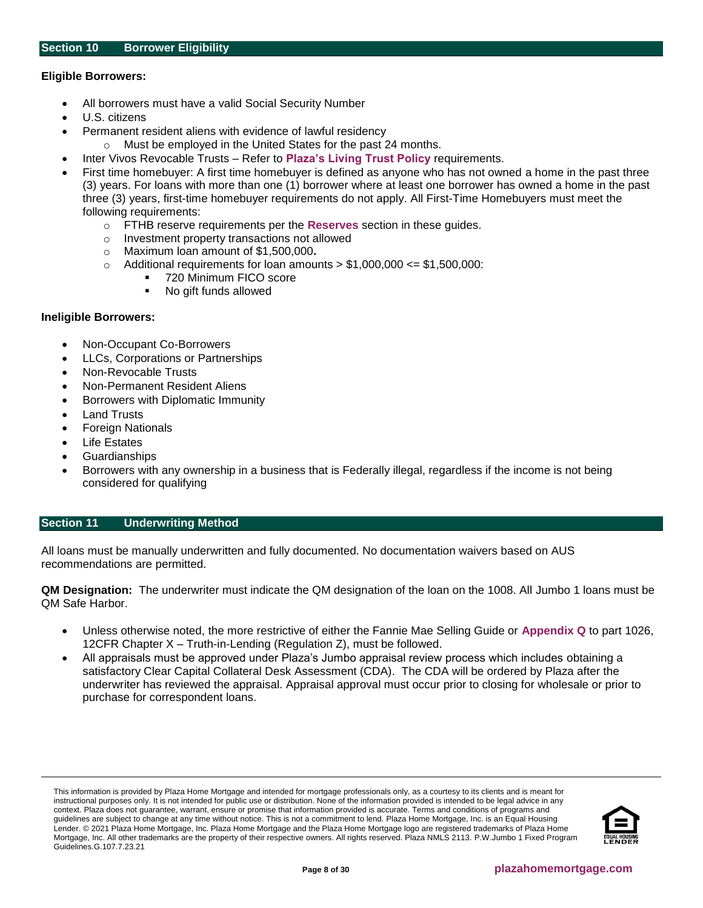# <span id="page-7-1"></span>**Eligible Borrowers:**

- All borrowers must have a valid Social Security Number
- U.S. citizens
- Permanent resident aliens with evidence of lawful residency
- Must be employed in the United States for the past 24 months.
- Inter Vivos Revocable Trusts Refer to **[Plaza's Living Trust Policy](https://resourcecenter.plazahomemortgage.com/phmidocpublisher.nsf/All/2C8D5371893995E807257B66007577A4?OpenDocument)** requirements.
- First time homebuyer: A first time homebuyer is defined as anyone who has not owned a home in the past three (3) years. For loans with more than one (1) borrower where at least one borrower has owned a home in the past three (3) years, first-time homebuyer requirements do not apply. All First-Time Homebuyers must meet the following requirements:
	- o FTHB reserve requirements per the **[Reserves](#page-23-0)** section in these guides.
	- o Investment property transactions not allowed
	- o Maximum loan amount of \$1,500,000**.**
	- $\circ$  Additional requirements for loan amounts  $> $1,000,000 \leq $1,500,000$ :
		- 720 Minimum FICO score
		- No gift funds allowed

# **Ineligible Borrowers:**

- Non-Occupant Co-Borrowers
- LLCs, Corporations or Partnerships
- Non-Revocable Trusts
- Non-Permanent Resident Aliens
- Borrowers with Diplomatic Immunity
- **Land Trusts**
- Foreign Nationals
- **Life Estates**
- Guardianships
- Borrowers with any ownership in a business that is Federally illegal, regardless if the income is not being considered for qualifying

# <span id="page-7-0"></span>**Section 11 [Underwriting Method](#page-7-0)**

All loans must be manually underwritten and fully documented. No documentation waivers based on AUS recommendations are permitted.

**QM Designation:** The underwriter must indicate the QM designation of the loan on the 1008. All Jumbo 1 loans must be QM Safe Harbor.

- Unless otherwise noted, the more restrictive of either the Fannie Mae Selling Guide or **[Appendix Q](http://www.consumerfinance.gov/eregulations/1026-Q/2013-30108_20140118#1026-Q-p1)** to part 1026, 12CFR Chapter X – Truth-in-Lending (Regulation Z), must be followed.
- All appraisals must be approved under Plaza's Jumbo appraisal review process which includes obtaining a satisfactory Clear Capital Collateral Desk Assessment (CDA). The CDA will be ordered by Plaza after the underwriter has reviewed the appraisal. Appraisal approval must occur prior to closing for wholesale or prior to purchase for correspondent loans.

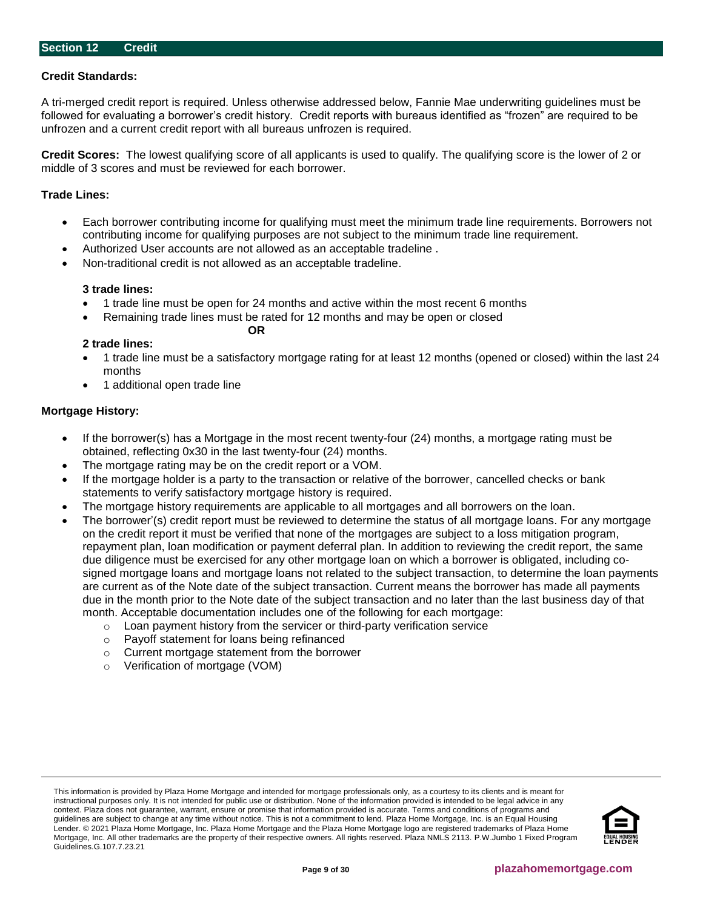# <span id="page-8-0"></span>**Credit Standards:**

A tri-merged credit report is required. Unless otherwise addressed below, Fannie Mae underwriting guidelines must be followed for evaluating a borrower's credit history. Credit reports with bureaus identified as "frozen" are required to be unfrozen and a current credit report with all bureaus unfrozen is required.

**Credit Scores:** The lowest qualifying score of all applicants is used to qualify. The qualifying score is the lower of 2 or middle of 3 scores and must be reviewed for each borrower.

#### **Trade Lines:**

- Each borrower contributing income for qualifying must meet the minimum trade line requirements. Borrowers not contributing income for qualifying purposes are not subject to the minimum trade line requirement.
- Authorized User accounts are not allowed as an acceptable tradeline .

**OR**

• Non-traditional credit is not allowed as an acceptable tradeline.

#### **3 trade lines:**

- 1 trade line must be open for 24 months and active within the most recent 6 months
	- Remaining trade lines must be rated for 12 months and may be open or closed

# **2 trade lines:**

- 1 trade line must be a satisfactory mortgage rating for at least 12 months (opened or closed) within the last 24 months
- 1 additional open trade line

#### **Mortgage History:**

- If the borrower(s) has a Mortgage in the most recent twenty-four (24) months, a mortgage rating must be obtained, reflecting 0x30 in the last twenty-four (24) months.
- The mortgage rating may be on the credit report or a VOM.
- If the mortgage holder is a party to the transaction or relative of the borrower, cancelled checks or bank statements to verify satisfactory mortgage history is required.
- The mortgage history requirements are applicable to all mortgages and all borrowers on the loan.
- The borrower'(s) credit report must be reviewed to determine the status of all mortgage loans. For any mortgage on the credit report it must be verified that none of the mortgages are subject to a loss mitigation program, repayment plan, loan modification or payment deferral plan. In addition to reviewing the credit report, the same due diligence must be exercised for any other mortgage loan on which a borrower is obligated, including cosigned mortgage loans and mortgage loans not related to the subject transaction, to determine the loan payments are current as of the Note date of the subject transaction. Current means the borrower has made all payments due in the month prior to the Note date of the subject transaction and no later than the last business day of that month. Acceptable documentation includes one of the following for each mortgage:
	- $\circ$  Loan payment history from the servicer or third-party verification service
	- o Payoff statement for loans being refinanced
	- o Current mortgage statement from the borrower
	- o Verification of mortgage (VOM)

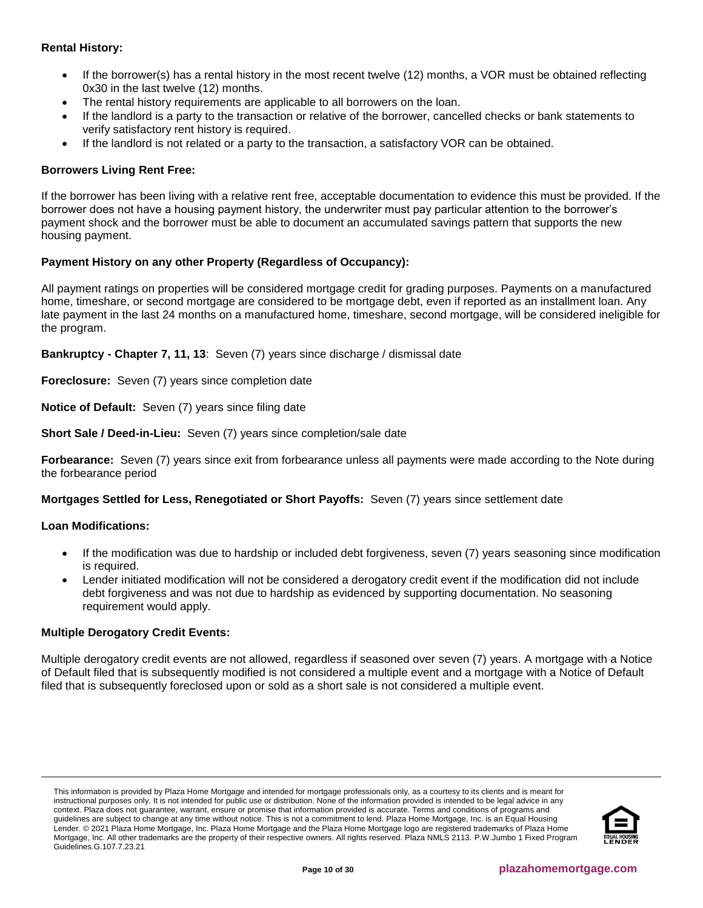# **Rental History:**

- If the borrower(s) has a rental history in the most recent twelve (12) months, a VOR must be obtained reflecting 0x30 in the last twelve (12) months.
- The rental history requirements are applicable to all borrowers on the loan.
- If the landlord is a party to the transaction or relative of the borrower, cancelled checks or bank statements to verify satisfactory rent history is required.
- If the landlord is not related or a party to the transaction, a satisfactory VOR can be obtained.

# **Borrowers Living Rent Free:**

If the borrower has been living with a relative rent free, acceptable documentation to evidence this must be provided. If the borrower does not have a housing payment history, the underwriter must pay particular attention to the borrower's payment shock and the borrower must be able to document an accumulated savings pattern that supports the new housing payment.

# **Payment History on any other Property (Regardless of Occupancy):**

All payment ratings on properties will be considered mortgage credit for grading purposes. Payments on a manufactured home, timeshare, or second mortgage are considered to be mortgage debt, even if reported as an installment loan. Any late payment in the last 24 months on a manufactured home, timeshare, second mortgage, will be considered ineligible for the program.

**Bankruptcy - Chapter 7, 11, 13**: Seven (7) years since discharge / dismissal date

**Foreclosure:** Seven (7) years since completion date

**Notice of Default:** Seven (7) years since filing date

**Short Sale / Deed-in-Lieu:** Seven (7) years since completion/sale date

**Forbearance:** Seven (7) years since exit from forbearance unless all payments were made according to the Note during the forbearance period

**Mortgages Settled for Less, Renegotiated or Short Payoffs:** Seven (7) years since settlement date

# **Loan Modifications:**

- If the modification was due to hardship or included debt forgiveness, seven (7) years seasoning since modification is required.
- Lender initiated modification will not be considered a derogatory credit event if the modification did not include debt forgiveness and was not due to hardship as evidenced by supporting documentation. No seasoning requirement would apply.

# **Multiple Derogatory Credit Events:**

Multiple derogatory credit events are not allowed, regardless if seasoned over seven (7) years. A mortgage with a Notice of Default filed that is subsequently modified is not considered a multiple event and a mortgage with a Notice of Default filed that is subsequently foreclosed upon or sold as a short sale is not considered a multiple event.

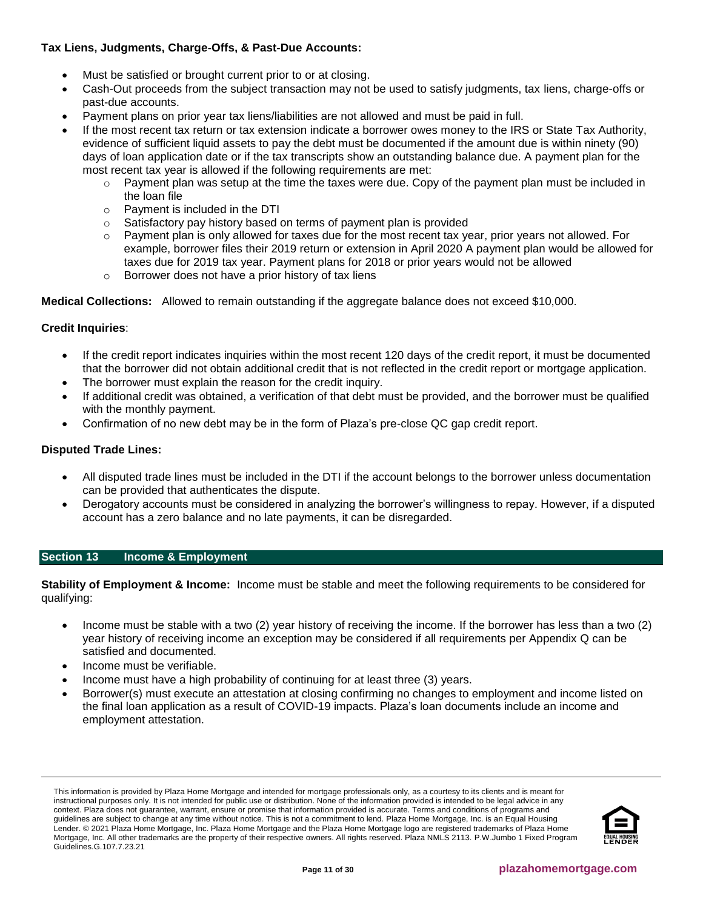# **Tax Liens, Judgments, Charge-Offs, & Past-Due Accounts:**

- Must be satisfied or brought current prior to or at closing.
- Cash-Out proceeds from the subject transaction may not be used to satisfy judgments, tax liens, charge-offs or past-due accounts.
- Payment plans on prior year tax liens/liabilities are not allowed and must be paid in full.
- If the most recent tax return or tax extension indicate a borrower owes money to the IRS or State Tax Authority, evidence of sufficient liquid assets to pay the debt must be documented if the amount due is within ninety (90) days of loan application date or if the tax transcripts show an outstanding balance due. A payment plan for the most recent tax year is allowed if the following requirements are met:
	- $\circ$  Payment plan was setup at the time the taxes were due. Copy of the payment plan must be included in the loan file
	- o Payment is included in the DTI
	- o Satisfactory pay history based on terms of payment plan is provided
	- Payment plan is only allowed for taxes due for the most recent tax year, prior years not allowed. For example, borrower files their 2019 return or extension in April 2020 A payment plan would be allowed for taxes due for 2019 tax year. Payment plans for 2018 or prior years would not be allowed
	- o Borrower does not have a prior history of tax liens

**Medical Collections:** Allowed to remain outstanding if the aggregate balance does not exceed \$10,000.

# **Credit Inquiries**:

- If the credit report indicates inquiries within the most recent 120 days of the credit report, it must be documented that the borrower did not obtain additional credit that is not reflected in the credit report or mortgage application.
- The borrower must explain the reason for the credit inquiry.
- If additional credit was obtained, a verification of that debt must be provided, and the borrower must be qualified with the monthly payment.
- Confirmation of no new debt may be in the form of Plaza's pre-close QC gap credit report.

# **Disputed Trade Lines:**

- All disputed trade lines must be included in the DTI if the account belongs to the borrower unless documentation can be provided that authenticates the dispute.
- Derogatory accounts must be considered in analyzing the borrower's willingness to repay. However, if a disputed account has a zero balance and no late payments, it can be disregarded.

# <span id="page-10-0"></span>**Section 13 Income & Employment**

**Stability of Employment & Income:** Income must be stable and meet the following requirements to be considered for qualifying:

- Income must be stable with a two (2) year history of receiving the income. If the borrower has less than a two (2) year history of receiving income an exception may be considered if all requirements per Appendix Q can be satisfied and documented.
- Income must be verifiable.
- Income must have a high probability of continuing for at least three (3) years.
- Borrower(s) must execute an attestation at closing confirming no changes to employment and income listed on the final loan application as a result of COVID-19 impacts. Plaza's loan documents include an income and employment attestation.

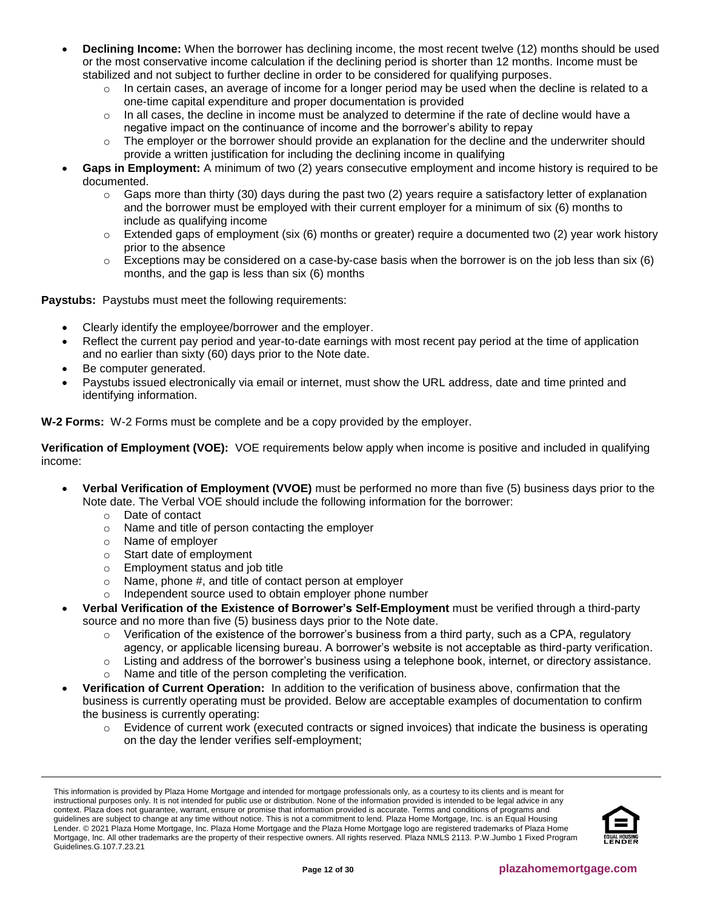- **Declining Income:** When the borrower has declining income, the most recent twelve (12) months should be used or the most conservative income calculation if the declining period is shorter than 12 months. Income must be stabilized and not subject to further decline in order to be considered for qualifying purposes.
	- $\circ$  In certain cases, an average of income for a longer period may be used when the decline is related to a one-time capital expenditure and proper documentation is provided
	- $\circ$  In all cases, the decline in income must be analyzed to determine if the rate of decline would have a negative impact on the continuance of income and the borrower's ability to repay
	- The employer or the borrower should provide an explanation for the decline and the underwriter should provide a written justification for including the declining income in qualifying
- **Gaps in Employment:** A minimum of two (2) years consecutive employment and income history is required to be documented.
	- o Gaps more than thirty (30) days during the past two (2) years require a satisfactory letter of explanation and the borrower must be employed with their current employer for a minimum of six (6) months to include as qualifying income
	- $\circ$  Extended gaps of employment (six (6) months or greater) require a documented two (2) year work history prior to the absence
	- $\circ$  Exceptions may be considered on a case-by-case basis when the borrower is on the job less than six (6) months, and the gap is less than six (6) months

**Paystubs:** Paystubs must meet the following requirements:

- Clearly identify the employee/borrower and the employer.
- Reflect the current pay period and year-to-date earnings with most recent pay period at the time of application and no earlier than sixty (60) days prior to the Note date.
- Be computer generated.
- Paystubs issued electronically via email or internet, must show the URL address, date and time printed and identifying information.

**W-2 Forms:** W-2 Forms must be complete and be a copy provided by the employer.

**Verification of Employment (VOE):** VOE requirements below apply when income is positive and included in qualifying income:

- **Verbal Verification of Employment (VVOE)** must be performed no more than five (5) business days prior to the Note date. The Verbal VOE should include the following information for the borrower:
	- o Date of contact
	- o Name and title of person contacting the employer
	- o Name of employer
	- o Start date of employment
	- o Employment status and job title
	- o Name, phone #, and title of contact person at employer
	- o Independent source used to obtain employer phone number
- **Verbal Verification of the Existence of Borrower's Self-Employment** must be verified through a third-party source and no more than five (5) business days prior to the Note date.
	- $\circ$  Verification of the existence of the borrower's business from a third party, such as a CPA, regulatory agency, or applicable licensing bureau. A borrower's website is not acceptable as third-party verification.
	- $\circ$  Listing and address of the borrower's business using a telephone book, internet, or directory assistance.
	- o Name and title of the person completing the verification.
- **Verification of Current Operation:** In addition to the verification of business above, confirmation that the business is currently operating must be provided. Below are acceptable examples of documentation to confirm the business is currently operating:
	- $\circ$  Evidence of current work (executed contracts or signed invoices) that indicate the business is operating on the day the lender verifies self-employment;

This information is provided by Plaza Home Mortgage and intended for mortgage professionals only, as a courtesy to its clients and is meant for instructional purposes only. It is not intended for public use or distribution. None of the information provided is intended to be legal advice in any context. Plaza does not guarantee, warrant, ensure or promise that information provided is accurate. Terms and conditions of programs and guidelines are subject to change at any time without notice. This is not a commitment to lend. Plaza Home Mortgage, Inc. is an Equal Housing Lender. © 2021 Plaza Home Mortgage, Inc. Plaza Home Mortgage and the Plaza Home Mortgage logo are registered trademarks of Plaza Home Mortgage, Inc. All other trademarks are the property of their respective owners. All rights reserved. Plaza NMLS 2113. P.W.Jumbo 1 Fixed Program Guidelines.G.107.7.23.21

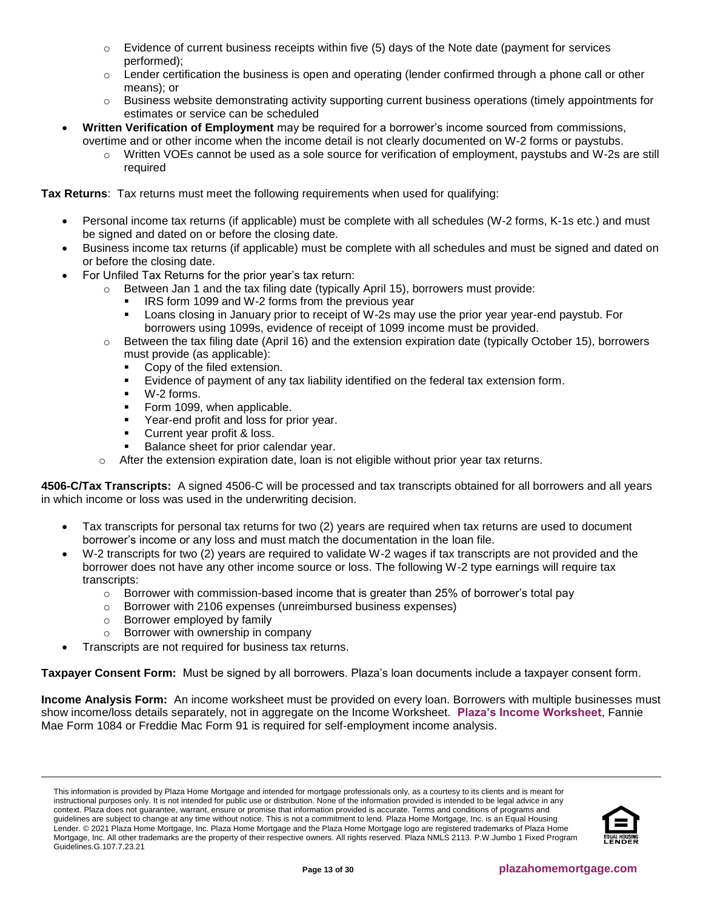- $\circ$  Evidence of current business receipts within five (5) days of the Note date (payment for services performed);
- $\circ$  Lender certification the business is open and operating (lender confirmed through a phone call or other means); or
- o Business website demonstrating activity supporting current business operations (timely appointments for estimates or service can be scheduled
- **Written Verification of Employment** may be required for a borrower's income sourced from commissions, overtime and or other income when the income detail is not clearly documented on W-2 forms or paystubs.
	- Written VOEs cannot be used as a sole source for verification of employment, paystubs and W-2s are still required

**Tax Returns**: Tax returns must meet the following requirements when used for qualifying:

- Personal income tax returns (if applicable) must be complete with all schedules (W-2 forms, K-1s etc.) and must be signed and dated on or before the closing date.
- Business income tax returns (if applicable) must be complete with all schedules and must be signed and dated on or before the closing date.
- For Unfiled Tax Returns for the prior year's tax return:
	- $\circ$  Between Jan 1 and the tax filing date (typically April 15), borrowers must provide:
		- IRS form 1099 and W-2 forms from the previous year
		- Loans closing in January prior to receipt of W-2s may use the prior year year-end paystub. For borrowers using 1099s, evidence of receipt of 1099 income must be provided.
	- $\circ$  Between the tax filing date (April 16) and the extension expiration date (typically October 15), borrowers must provide (as applicable):
		- Copy of the filed extension.
		- Evidence of payment of any tax liability identified on the federal tax extension form.
		- W-2 forms.
		- Form 1099, when applicable.
		- Year-end profit and loss for prior year.
		- Current year profit & loss.
		- Balance sheet for prior calendar year.
	- After the extension expiration date, loan is not eligible without prior year tax returns.

<span id="page-12-0"></span>**4506-C/Tax Transcripts:** A signed 4506-C will be processed and tax transcripts obtained for all borrowers and all years in which income or loss was used in the underwriting decision.

- Tax transcripts for personal tax returns for two (2) years are required when tax returns are used to document borrower's income or any loss and must match the documentation in the loan file.
- W-2 transcripts for two (2) years are required to validate W-2 wages if tax transcripts are not provided and the borrower does not have any other income source or loss. The following W-2 type earnings will require tax transcripts:
	- $\circ$  Borrower with commission-based income that is greater than 25% of borrower's total pay
	- o Borrower with 2106 expenses (unreimbursed business expenses)
	- o Borrower employed by family
	- o Borrower with ownership in company
	- Transcripts are not required for business tax returns.

**Taxpayer Consent Form:** Must be signed by all borrowers. Plaza's loan documents include a taxpayer consent form.

**Income Analysis Form:** An income worksheet must be provided on every loan. Borrowers with multiple businesses must show income/loss details separately, not in aggregate on the Income Worksheet. **[Plaza's Income Worksheet](https://resourcecenter.plazahomemortgage.com/whocli/all/7b7e6466ba576c4b88258059005aa6fd?opendocument)**, Fannie Mae Form 1084 or Freddie Mac Form 91 is required for self-employment income analysis.

This information is provided by Plaza Home Mortgage and intended for mortgage professionals only, as a courtesy to its clients and is meant for instructional purposes only. It is not intended for public use or distribution. None of the information provided is intended to be legal advice in any context. Plaza does not guarantee, warrant, ensure or promise that information provided is accurate. Terms and conditions of programs and guidelines are subject to change at any time without notice. This is not a commitment to lend. Plaza Home Mortgage, Inc. is an Equal Housing Lender. © 2021 Plaza Home Mortgage, Inc. Plaza Home Mortgage and the Plaza Home Mortgage logo are registered trademarks of Plaza Home Mortgage, Inc. All other trademarks are the property of their respective owners. All rights reserved. Plaza NMLS 2113. P.W.Jumbo 1 Fixed Program Guidelines.G.107.7.23.21

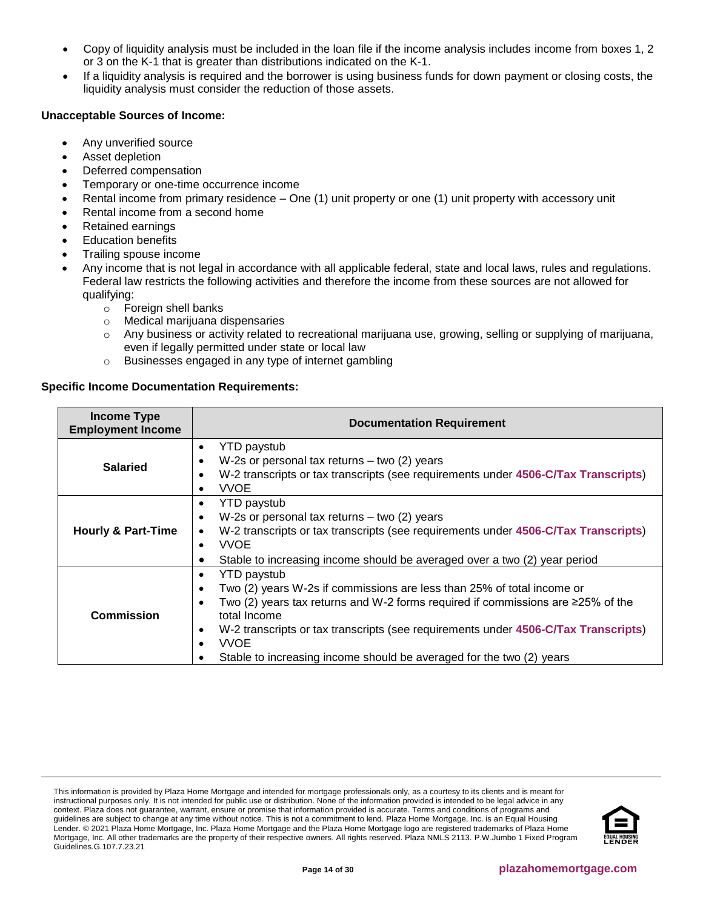- Copy of liquidity analysis must be included in the loan file if the income analysis includes income from boxes 1, 2 or 3 on the K-1 that is greater than distributions indicated on the K-1.
- If a liquidity analysis is required and the borrower is using business funds for down payment or closing costs, the liquidity analysis must consider the reduction of those assets.

# **Unacceptable Sources of Income:**

- Any unverified source
- Asset depletion
- Deferred compensation
- Temporary or one-time occurrence income
- Rental income from primary residence One (1) unit property or one (1) unit property with accessory unit
- Rental income from a second home
- Retained earnings
- **Education benefits**
- Trailing spouse income
- Any income that is not legal in accordance with all applicable federal, state and local laws, rules and regulations. Federal law restricts the following activities and therefore the income from these sources are not allowed for qualifying:
	- o Foreign shell banks
	- o Medical marijuana dispensaries
	- o Any business or activity related to recreational marijuana use, growing, selling or supplying of marijuana, even if legally permitted under state or local law
	- o Businesses engaged in any type of internet gambling

# **Specific Income Documentation Requirements:**

| <b>Income Type</b><br><b>Employment Income</b> | <b>Documentation Requirement</b>                                                                                                                                                                                                                                                                                                                                                                |  |  |  |
|------------------------------------------------|-------------------------------------------------------------------------------------------------------------------------------------------------------------------------------------------------------------------------------------------------------------------------------------------------------------------------------------------------------------------------------------------------|--|--|--|
| <b>Salaried</b>                                | <b>YTD</b> paystub<br>$\bullet$<br>W-2s or personal tax returns $-$ two (2) years<br>$\bullet$<br>W-2 transcripts or tax transcripts (see requirements under 4506-C/Tax Transcripts)<br>$\bullet$<br><b>VVOE</b>                                                                                                                                                                                |  |  |  |
| <b>Hourly &amp; Part-Time</b>                  | <b>YTD</b> paystub<br>$\bullet$<br>W-2s or personal tax returns $-$ two (2) years<br>$\bullet$<br>W-2 transcripts or tax transcripts (see requirements under 4506-C/Tax Transcripts)<br><b>VVOE</b><br>$\bullet$<br>Stable to increasing income should be averaged over a two (2) year period                                                                                                   |  |  |  |
| <b>Commission</b>                              | <b>YTD</b> paystub<br>Two (2) years W-2s if commissions are less than 25% of total income or<br>Two (2) years tax returns and W-2 forms required if commissions are $\geq$ 25% of the<br>total Income<br>W-2 transcripts or tax transcripts (see requirements under 4506-C/Tax Transcripts)<br>$\bullet$<br><b>VVOE</b><br>Stable to increasing income should be averaged for the two (2) years |  |  |  |

This information is provided by Plaza Home Mortgage and intended for mortgage professionals only, as a courtesy to its clients and is meant for instructional purposes only. It is not intended for public use or distribution. None of the information provided is intended to be legal advice in any context. Plaza does not guarantee, warrant, ensure or promise that information provided is accurate. Terms and conditions of programs and guidelines are subject to change at any time without notice. This is not a commitment to lend. Plaza Home Mortgage, Inc. is an Equal Housing Lender. © 2021 Plaza Home Mortgage, Inc. Plaza Home Mortgage and the Plaza Home Mortgage logo are registered trademarks of Plaza Home Mortgage, Inc. All other trademarks are the property of their respective owners. All rights reserved. Plaza NMLS 2113. P.W.Jumbo 1 Fixed Program Guidelines.G.107.7.23.21

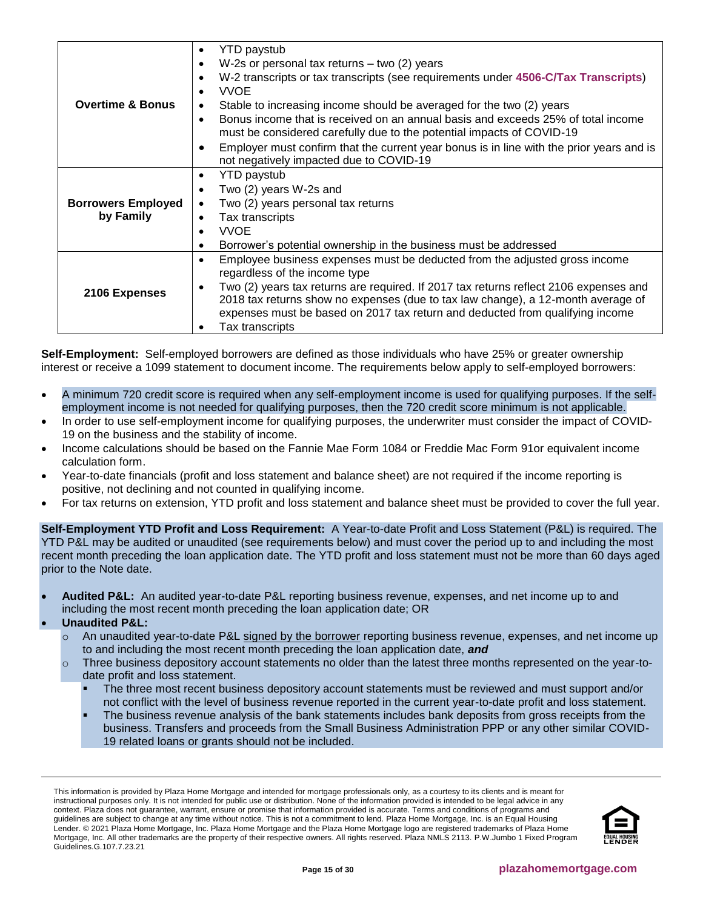|                             | <b>YTD</b> paystub<br>$\bullet$                                                                       |
|-----------------------------|-------------------------------------------------------------------------------------------------------|
|                             | W-2s or personal tax returns $-$ two (2) years<br>$\bullet$                                           |
|                             | W-2 transcripts or tax transcripts (see requirements under 4506-C/Tax Transcripts)<br>$\bullet$       |
|                             | <b>VVOE</b>                                                                                           |
| <b>Overtime &amp; Bonus</b> | Stable to increasing income should be averaged for the two (2) years<br>٠                             |
|                             | Bonus income that is received on an annual basis and exceeds 25% of total income<br>$\bullet$         |
|                             | must be considered carefully due to the potential impacts of COVID-19                                 |
|                             | Employer must confirm that the current year bonus is in line with the prior years and is<br>$\bullet$ |
|                             | not negatively impacted due to COVID-19                                                               |
|                             | <b>YTD</b> paystub<br>٠                                                                               |
|                             | Two (2) years W-2s and<br>$\bullet$                                                                   |
| <b>Borrowers Employed</b>   | Two (2) years personal tax returns<br>$\bullet$                                                       |
| by Family                   | Tax transcripts<br>$\bullet$                                                                          |
|                             | <b>VVOE</b><br>$\bullet$                                                                              |
|                             | Borrower's potential ownership in the business must be addressed<br>$\bullet$                         |
|                             | Employee business expenses must be deducted from the adjusted gross income<br>$\bullet$               |
|                             | regardless of the income type                                                                         |
| 2106 Expenses               | Two (2) years tax returns are required. If 2017 tax returns reflect 2106 expenses and<br>$\bullet$    |
|                             | 2018 tax returns show no expenses (due to tax law change), a 12-month average of                      |
|                             | expenses must be based on 2017 tax return and deducted from qualifying income                         |
|                             | Tax transcripts                                                                                       |

**Self-Employment:** Self-employed borrowers are defined as those individuals who have 25% or greater ownership interest or receive a 1099 statement to document income. The requirements below apply to self-employed borrowers:

- A minimum 720 credit score is required when any self-employment income is used for qualifying purposes. If the selfemployment income is not needed for qualifying purposes, then the 720 credit score minimum is not applicable.
- In order to use self-employment income for qualifying purposes, the underwriter must consider the impact of COVID-19 on the business and the stability of income.
- Income calculations should be based on the Fannie Mae Form 1084 or Freddie Mac Form 91or equivalent income calculation form.
- Year-to-date financials (profit and loss statement and balance sheet) are not required if the income reporting is positive, not declining and not counted in qualifying income.
- For tax returns on extension, YTD profit and loss statement and balance sheet must be provided to cover the full year.

<span id="page-14-0"></span>**Self-Employment YTD Profit and Loss Requirement:** A Year-to-date Profit and Loss Statement (P&L) is required. The YTD P&L may be audited or unaudited (see requirements below) and must cover the period up to and including the most recent month preceding the loan application date. The YTD profit and loss statement must not be more than 60 days aged prior to the Note date.

- **Audited P&L:** An audited year-to-date P&L reporting business revenue, expenses, and net income up to and including the most recent month preceding the loan application date; OR
- **Unaudited P&L:**
	- o An unaudited year-to-date P&L signed by the borrower reporting business revenue, expenses, and net income up to and including the most recent month preceding the loan application date, *and*
	- $\circ$  Three business depository account statements no older than the latest three months represented on the year-todate profit and loss statement.
		- The three most recent business depository account statements must be reviewed and must support and/or not conflict with the level of business revenue reported in the current year-to-date profit and loss statement.
		- The business revenue analysis of the bank statements includes bank deposits from gross receipts from the business. Transfers and proceeds from the Small Business Administration PPP or any other similar COVID-19 related loans or grants should not be included.

This information is provided by Plaza Home Mortgage and intended for mortgage professionals only, as a courtesy to its clients and is meant for instructional purposes only. It is not intended for public use or distribution. None of the information provided is intended to be legal advice in any context. Plaza does not guarantee, warrant, ensure or promise that information provided is accurate. Terms and conditions of programs and guidelines are subject to change at any time without notice. This is not a commitment to lend. Plaza Home Mortgage, Inc. is an Equal Housing Lender. © 2021 Plaza Home Mortgage, Inc. Plaza Home Mortgage and the Plaza Home Mortgage logo are registered trademarks of Plaza Home Mortgage, Inc. All other trademarks are the property of their respective owners. All rights reserved. Plaza NMLS 2113. P.W.Jumbo 1 Fixed Program Guidelines.G.107.7.23.21

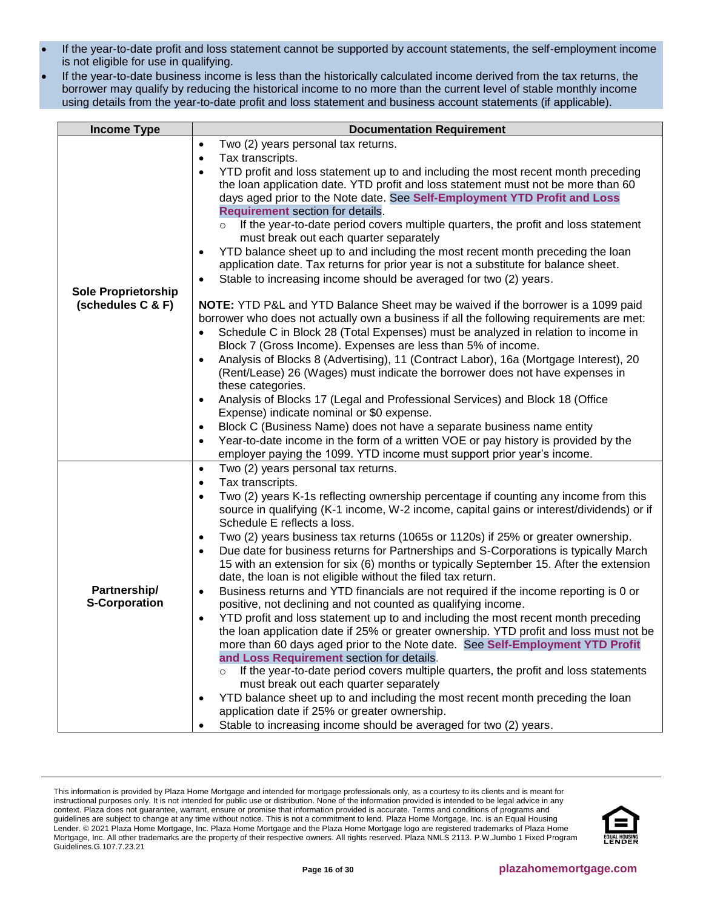- If the year-to-date profit and loss statement cannot be supported by account statements, the self-employment income is not eligible for use in qualifying.
- If the year-to-date business income is less than the historically calculated income derived from the tax returns, the borrower may qualify by reducing the historical income to no more than the current level of stable monthly income using details from the year-to-date profit and loss statement and business account statements (if applicable).

| <b>Income Type</b>                              | <b>Documentation Requirement</b>                                                                                        |
|-------------------------------------------------|-------------------------------------------------------------------------------------------------------------------------|
|                                                 | Two (2) years personal tax returns.<br>$\bullet$                                                                        |
|                                                 | Tax transcripts.<br>$\bullet$                                                                                           |
|                                                 | YTD profit and loss statement up to and including the most recent month preceding<br>$\bullet$                          |
|                                                 | the loan application date. YTD profit and loss statement must not be more than 60                                       |
|                                                 | days aged prior to the Note date. See Self-Employment YTD Profit and Loss                                               |
|                                                 | Requirement section for details.                                                                                        |
|                                                 | If the year-to-date period covers multiple quarters, the profit and loss statement<br>$\circ$                           |
|                                                 | must break out each quarter separately                                                                                  |
|                                                 | YTD balance sheet up to and including the most recent month preceding the loan<br>٠                                     |
|                                                 | application date. Tax returns for prior year is not a substitute for balance sheet.                                     |
|                                                 | Stable to increasing income should be averaged for two (2) years.<br>$\bullet$                                          |
| <b>Sole Proprietorship</b><br>(schedules C & F) | NOTE: YTD P&L and YTD Balance Sheet may be waived if the borrower is a 1099 paid                                        |
|                                                 | borrower who does not actually own a business if all the following requirements are met:                                |
|                                                 | Schedule C in Block 28 (Total Expenses) must be analyzed in relation to income in<br>$\bullet$                          |
|                                                 | Block 7 (Gross Income). Expenses are less than 5% of income.                                                            |
|                                                 | Analysis of Blocks 8 (Advertising), 11 (Contract Labor), 16a (Mortgage Interest), 20<br>$\bullet$                       |
|                                                 | (Rent/Lease) 26 (Wages) must indicate the borrower does not have expenses in                                            |
|                                                 | these categories.                                                                                                       |
|                                                 | Analysis of Blocks 17 (Legal and Professional Services) and Block 18 (Office<br>$\bullet$                               |
|                                                 | Expense) indicate nominal or \$0 expense.                                                                               |
|                                                 | Block C (Business Name) does not have a separate business name entity<br>$\bullet$                                      |
|                                                 | Year-to-date income in the form of a written VOE or pay history is provided by the<br>$\bullet$                         |
|                                                 | employer paying the 1099. YTD income must support prior year's income.                                                  |
|                                                 | Two (2) years personal tax returns.<br>$\bullet$                                                                        |
|                                                 | Tax transcripts.<br>$\bullet$                                                                                           |
|                                                 | Two (2) years K-1s reflecting ownership percentage if counting any income from this<br>$\bullet$                        |
|                                                 | source in qualifying (K-1 income, W-2 income, capital gains or interest/dividends) or if<br>Schedule E reflects a loss. |
|                                                 | Two (2) years business tax returns (1065s or 1120s) if 25% or greater ownership.<br>$\bullet$                           |
|                                                 | Due date for business returns for Partnerships and S-Corporations is typically March<br>$\bullet$                       |
|                                                 | 15 with an extension for six (6) months or typically September 15. After the extension                                  |
|                                                 | date, the loan is not eligible without the filed tax return.                                                            |
| Partnership/                                    | Business returns and YTD financials are not required if the income reporting is 0 or<br>$\bullet$                       |
| <b>S-Corporation</b>                            | positive, not declining and not counted as qualifying income.                                                           |
|                                                 | YTD profit and loss statement up to and including the most recent month preceding<br>$\bullet$                          |
|                                                 | the loan application date if 25% or greater ownership. YTD profit and loss must not be                                  |
|                                                 | more than 60 days aged prior to the Note date. See Self-Employment YTD Profit                                           |
|                                                 | and Loss Requirement section for details.                                                                               |
|                                                 | If the year-to-date period covers multiple quarters, the profit and loss statements                                     |
|                                                 | must break out each quarter separately                                                                                  |
|                                                 | YTD balance sheet up to and including the most recent month preceding the loan<br>$\bullet$                             |
|                                                 | application date if 25% or greater ownership.                                                                           |
|                                                 | Stable to increasing income should be averaged for two (2) years.                                                       |

This information is provided by Plaza Home Mortgage and intended for mortgage professionals only, as a courtesy to its clients and is meant for instructional purposes only. It is not intended for public use or distribution. None of the information provided is intended to be legal advice in any context. Plaza does not guarantee, warrant, ensure or promise that information provided is accurate. Terms and conditions of programs and guidelines are subject to change at any time without notice. This is not a commitment to lend. Plaza Home Mortgage, Inc. is an Equal Housing Lender. © 2021 Plaza Home Mortgage, Inc. Plaza Home Mortgage and the Plaza Home Mortgage logo are registered trademarks of Plaza Home Mortgage, Inc. All other trademarks are the property of their respective owners. All rights reserved. Plaza NMLS 2113. P.W.Jumbo 1 Fixed Program Guidelines.G.107.7.23.21

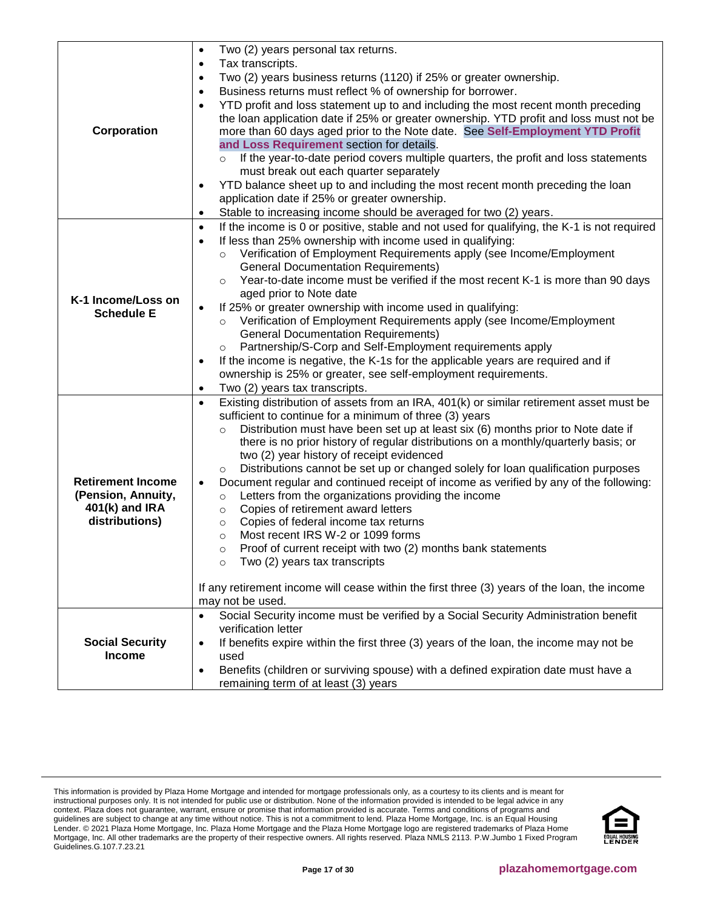|                          | Two (2) years personal tax returns.<br>$\bullet$                                                         |
|--------------------------|----------------------------------------------------------------------------------------------------------|
|                          | Tax transcripts.<br>$\bullet$                                                                            |
|                          | Two (2) years business returns (1120) if 25% or greater ownership.<br>$\bullet$                          |
|                          | Business returns must reflect % of ownership for borrower.<br>$\bullet$                                  |
|                          | YTD profit and loss statement up to and including the most recent month preceding<br>$\bullet$           |
|                          | the loan application date if 25% or greater ownership. YTD profit and loss must not be                   |
| Corporation              | more than 60 days aged prior to the Note date. See Self-Employment YTD Profit                            |
|                          | and Loss Requirement section for details.                                                                |
|                          | If the year-to-date period covers multiple quarters, the profit and loss statements<br>$\circ$           |
|                          | must break out each quarter separately                                                                   |
|                          | YTD balance sheet up to and including the most recent month preceding the loan<br>٠                      |
|                          | application date if 25% or greater ownership.                                                            |
|                          | Stable to increasing income should be averaged for two (2) years.<br>$\bullet$                           |
|                          | If the income is 0 or positive, stable and not used for qualifying, the K-1 is not required<br>$\bullet$ |
|                          | If less than 25% ownership with income used in qualifying:<br>$\bullet$                                  |
|                          | Verification of Employment Requirements apply (see Income/Employment                                     |
|                          | <b>General Documentation Requirements)</b>                                                               |
|                          | Year-to-date income must be verified if the most recent K-1 is more than 90 days<br>$\circ$              |
|                          | aged prior to Note date                                                                                  |
| K-1 Income/Loss on       | If 25% or greater ownership with income used in qualifying:<br>$\bullet$                                 |
| <b>Schedule E</b>        | Verification of Employment Requirements apply (see Income/Employment<br>$\circ$                          |
|                          | <b>General Documentation Requirements)</b>                                                               |
|                          | Partnership/S-Corp and Self-Employment requirements apply<br>$\circ$                                     |
|                          | If the income is negative, the K-1s for the applicable years are required and if<br>$\bullet$            |
|                          | ownership is 25% or greater, see self-employment requirements.                                           |
|                          | Two (2) years tax transcripts.<br>$\bullet$                                                              |
|                          | Existing distribution of assets from an IRA, 401(k) or similar retirement asset must be<br>$\bullet$     |
|                          | sufficient to continue for a minimum of three (3) years                                                  |
|                          | Distribution must have been set up at least six (6) months prior to Note date if<br>$\circ$              |
|                          | there is no prior history of regular distributions on a monthly/quarterly basis; or                      |
|                          | two (2) year history of receipt evidenced                                                                |
|                          | Distributions cannot be set up or changed solely for loan qualification purposes<br>$\circ$              |
| <b>Retirement Income</b> | Document regular and continued receipt of income as verified by any of the following:                    |
| (Pension, Annuity,       | Letters from the organizations providing the income<br>$\circ$                                           |
| 401(k) and IRA           | Copies of retirement award letters<br>$\circ$                                                            |
| distributions)           | Copies of federal income tax returns<br>$\circ$                                                          |
|                          | Most recent IRS W-2 or 1099 forms<br>$\circ$                                                             |
|                          | Proof of current receipt with two (2) months bank statements<br>$\circ$                                  |
|                          | Two (2) years tax transcripts<br>$\circ$                                                                 |
|                          | If any retirement income will cease within the first three (3) years of the loan, the income             |
|                          | may not be used.                                                                                         |
|                          | Social Security income must be verified by a Social Security Administration benefit<br>$\bullet$         |
|                          | verification letter                                                                                      |
| <b>Social Security</b>   | If benefits expire within the first three (3) years of the loan, the income may not be<br>$\bullet$      |
| <b>Income</b>            | used                                                                                                     |
|                          | Benefits (children or surviving spouse) with a defined expiration date must have a<br>$\bullet$          |
|                          | remaining term of at least (3) years                                                                     |
|                          |                                                                                                          |

This information is provided by Plaza Home Mortgage and intended for mortgage professionals only, as a courtesy to its clients and is meant for instructional purposes only. It is not intended for public use or distribution. None of the information provided is intended to be legal advice in any context. Plaza does not guarantee, warrant, ensure or promise that information provided is accurate. Terms and conditions of programs and guidelines are subject to change at any time without notice. This is not a commitment to lend. Plaza Home Mortgage, Inc. is an Equal Housing Lender. © 2021 Plaza Home Mortgage, Inc. Plaza Home Mortgage and the Plaza Home Mortgage logo are registered trademarks of Plaza Home Mortgage, Inc. All other trademarks are the property of their respective owners. All rights reserved. Plaza NMLS 2113. P.W.Jumbo 1 Fixed Program Guidelines.G.107.7.23.21

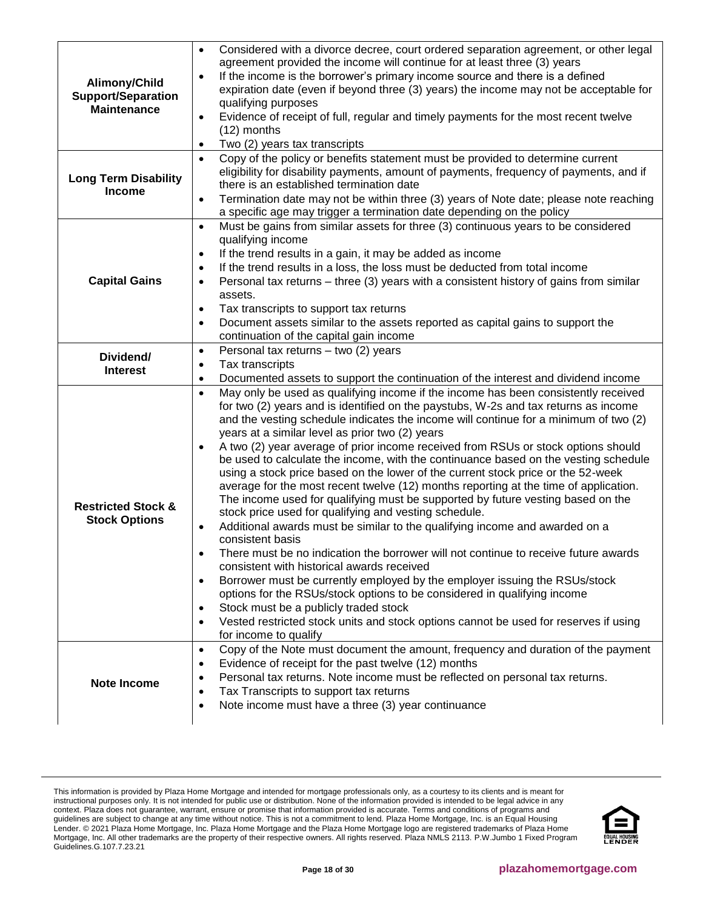| Alimony/Child<br><b>Support/Separation</b><br><b>Maintenance</b> | Considered with a divorce decree, court ordered separation agreement, or other legal<br>$\bullet$<br>agreement provided the income will continue for at least three (3) years<br>If the income is the borrower's primary income source and there is a defined<br>$\bullet$<br>expiration date (even if beyond three (3) years) the income may not be acceptable for<br>qualifying purposes<br>Evidence of receipt of full, regular and timely payments for the most recent twelve<br>$\bullet$<br>$(12)$ months<br>Two (2) years tax transcripts<br>$\bullet$                                                                                                                                                                                                                                                                                                                                                                                                                                                                                                                                                                                                                                                                                                                                                                                                                                                               |
|------------------------------------------------------------------|-----------------------------------------------------------------------------------------------------------------------------------------------------------------------------------------------------------------------------------------------------------------------------------------------------------------------------------------------------------------------------------------------------------------------------------------------------------------------------------------------------------------------------------------------------------------------------------------------------------------------------------------------------------------------------------------------------------------------------------------------------------------------------------------------------------------------------------------------------------------------------------------------------------------------------------------------------------------------------------------------------------------------------------------------------------------------------------------------------------------------------------------------------------------------------------------------------------------------------------------------------------------------------------------------------------------------------------------------------------------------------------------------------------------------------|
| <b>Long Term Disability</b><br><b>Income</b>                     | Copy of the policy or benefits statement must be provided to determine current<br>$\bullet$<br>eligibility for disability payments, amount of payments, frequency of payments, and if<br>there is an established termination date<br>Termination date may not be within three (3) years of Note date; please note reaching<br>$\bullet$<br>a specific age may trigger a termination date depending on the policy                                                                                                                                                                                                                                                                                                                                                                                                                                                                                                                                                                                                                                                                                                                                                                                                                                                                                                                                                                                                            |
| <b>Capital Gains</b>                                             | Must be gains from similar assets for three (3) continuous years to be considered<br>$\bullet$<br>qualifying income<br>If the trend results in a gain, it may be added as income<br>$\bullet$<br>If the trend results in a loss, the loss must be deducted from total income<br>$\bullet$<br>Personal tax returns – three (3) years with a consistent history of gains from similar<br>$\bullet$<br>assets.<br>Tax transcripts to support tax returns<br>$\bullet$<br>Document assets similar to the assets reported as capital gains to support the<br>$\bullet$<br>continuation of the capital gain income                                                                                                                                                                                                                                                                                                                                                                                                                                                                                                                                                                                                                                                                                                                                                                                                                |
| Dividend/<br><b>Interest</b>                                     | Personal tax returns - two (2) years<br>$\bullet$<br>Tax transcripts<br>$\bullet$<br>Documented assets to support the continuation of the interest and dividend income<br>$\bullet$                                                                                                                                                                                                                                                                                                                                                                                                                                                                                                                                                                                                                                                                                                                                                                                                                                                                                                                                                                                                                                                                                                                                                                                                                                         |
| <b>Restricted Stock &amp;</b><br><b>Stock Options</b>            | May only be used as qualifying income if the income has been consistently received<br>$\bullet$<br>for two (2) years and is identified on the paystubs, W-2s and tax returns as income<br>and the vesting schedule indicates the income will continue for a minimum of two (2)<br>years at a similar level as prior two (2) years<br>A two (2) year average of prior income received from RSUs or stock options should<br>$\bullet$<br>be used to calculate the income, with the continuance based on the vesting schedule<br>using a stock price based on the lower of the current stock price or the 52-week<br>average for the most recent twelve (12) months reporting at the time of application.<br>The income used for qualifying must be supported by future vesting based on the<br>stock price used for qualifying and vesting schedule.<br>Additional awards must be similar to the qualifying income and awarded on a<br>consistent basis<br>There must be no indication the borrower will not continue to receive future awards<br>consistent with historical awards received<br>Borrower must be currently employed by the employer issuing the RSUs/stock<br>options for the RSUs/stock options to be considered in qualifying income<br>Stock must be a publicly traded stock<br>Vested restricted stock units and stock options cannot be used for reserves if using<br>$\bullet$<br>for income to qualify |
| Note Income                                                      | Copy of the Note must document the amount, frequency and duration of the payment<br>$\bullet$<br>Evidence of receipt for the past twelve (12) months<br>$\bullet$<br>Personal tax returns. Note income must be reflected on personal tax returns.<br>Tax Transcripts to support tax returns<br>Note income must have a three (3) year continuance<br>$\bullet$                                                                                                                                                                                                                                                                                                                                                                                                                                                                                                                                                                                                                                                                                                                                                                                                                                                                                                                                                                                                                                                              |

This information is provided by Plaza Home Mortgage and intended for mortgage professionals only, as a courtesy to its clients and is meant for instructional purposes only. It is not intended for public use or distribution. None of the information provided is intended to be legal advice in any context. Plaza does not guarantee, warrant, ensure or promise that information provided is accurate. Terms and conditions of programs and guidelines are subject to change at any time without notice. This is not a commitment to lend. Plaza Home Mortgage, Inc. is an Equal Housing Lender. © 2021 Plaza Home Mortgage, Inc. Plaza Home Mortgage and the Plaza Home Mortgage logo are registered trademarks of Plaza Home Mortgage, Inc. All other trademarks are the property of their respective owners. All rights reserved. Plaza NMLS 2113. P.W.Jumbo 1 Fixed Program Guidelines.G.107.7.23.21

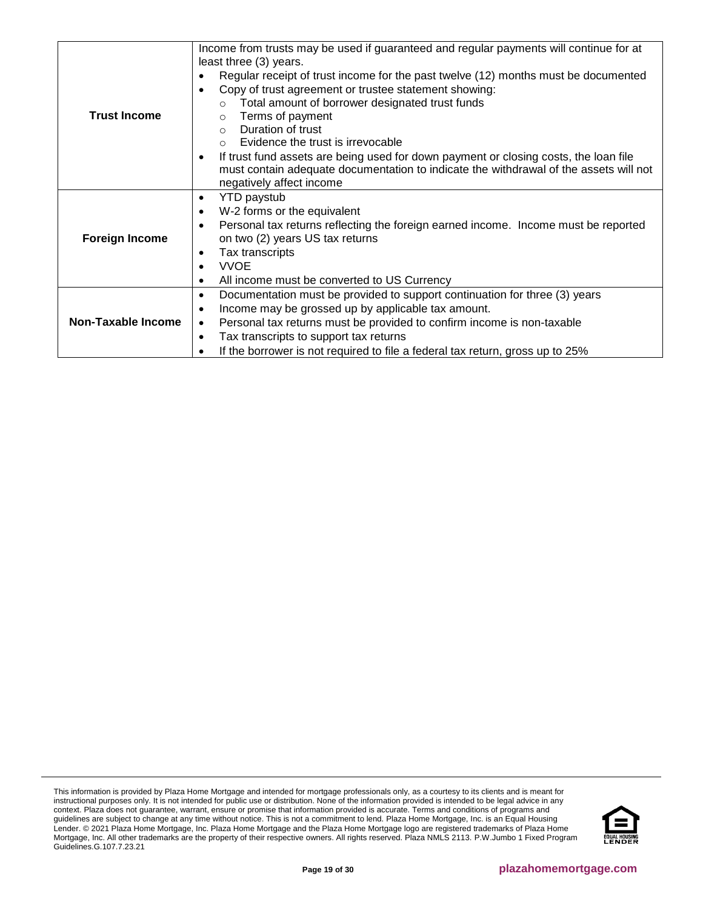|                           | Income from trusts may be used if guaranteed and regular payments will continue for at            |
|---------------------------|---------------------------------------------------------------------------------------------------|
|                           | least three (3) years.                                                                            |
|                           | Regular receipt of trust income for the past twelve (12) months must be documented<br>٠           |
|                           | Copy of trust agreement or trustee statement showing:<br>$\bullet$                                |
|                           | Total amount of borrower designated trust funds                                                   |
| <b>Trust Income</b>       | Terms of payment<br>$\circ$                                                                       |
|                           | Duration of trust<br>$\Omega$                                                                     |
|                           | Evidence the trust is irrevocable<br>$\Omega$                                                     |
|                           | If trust fund assets are being used for down payment or closing costs, the loan file<br>$\bullet$ |
|                           | must contain adequate documentation to indicate the withdrawal of the assets will not             |
|                           | negatively affect income                                                                          |
|                           | <b>YTD</b> paystub<br>$\bullet$                                                                   |
|                           | W-2 forms or the equivalent<br>$\bullet$                                                          |
|                           | Personal tax returns reflecting the foreign earned income. Income must be reported<br>$\bullet$   |
| <b>Foreign Income</b>     | on two (2) years US tax returns                                                                   |
|                           | Tax transcripts<br>٠                                                                              |
|                           | <b>VVOE</b><br>$\bullet$                                                                          |
|                           | All income must be converted to US Currency<br>$\bullet$                                          |
|                           | Documentation must be provided to support continuation for three (3) years<br>$\bullet$           |
|                           | Income may be grossed up by applicable tax amount.<br>$\bullet$                                   |
| <b>Non-Taxable Income</b> | Personal tax returns must be provided to confirm income is non-taxable<br>$\bullet$               |
|                           | Tax transcripts to support tax returns<br>$\bullet$                                               |
|                           | If the borrower is not required to file a federal tax return, gross up to 25%                     |

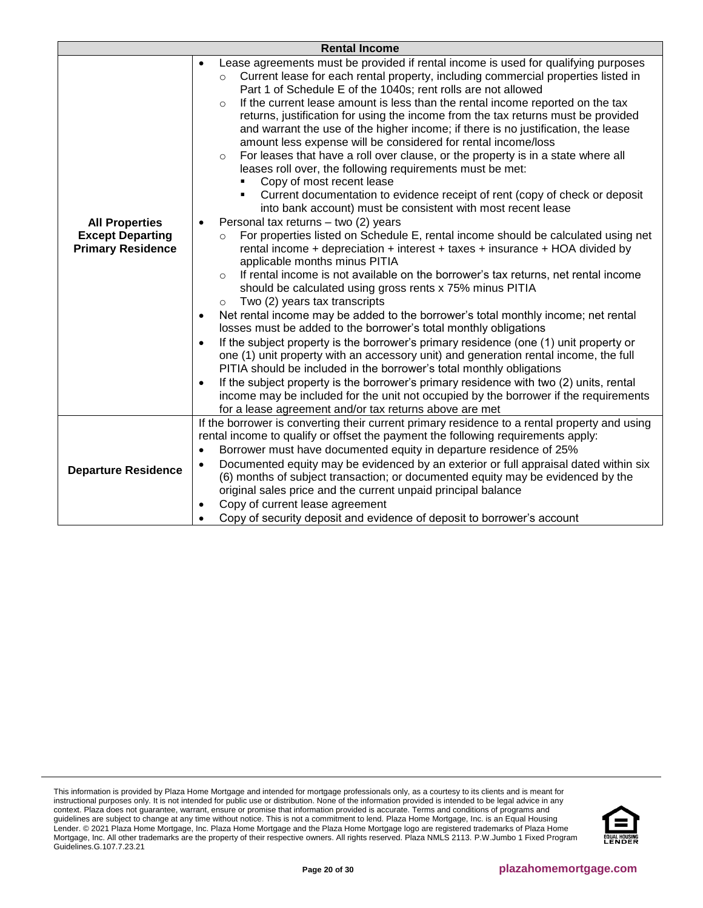|                                                                              | <b>Rental Income</b>                                                                                                                                                                                                                                                                                                                                                                                                                                                                                                                                                                                                                                                                                                                                                                                                                                                                                                                                                                                                                                                                                                                                                                                                                                                                                                                                                                                                                                                                                                                                                                                                                                                                                                                                                                                                                                                                                                                                                                                                                                                                                             |
|------------------------------------------------------------------------------|------------------------------------------------------------------------------------------------------------------------------------------------------------------------------------------------------------------------------------------------------------------------------------------------------------------------------------------------------------------------------------------------------------------------------------------------------------------------------------------------------------------------------------------------------------------------------------------------------------------------------------------------------------------------------------------------------------------------------------------------------------------------------------------------------------------------------------------------------------------------------------------------------------------------------------------------------------------------------------------------------------------------------------------------------------------------------------------------------------------------------------------------------------------------------------------------------------------------------------------------------------------------------------------------------------------------------------------------------------------------------------------------------------------------------------------------------------------------------------------------------------------------------------------------------------------------------------------------------------------------------------------------------------------------------------------------------------------------------------------------------------------------------------------------------------------------------------------------------------------------------------------------------------------------------------------------------------------------------------------------------------------------------------------------------------------------------------------------------------------|
| <b>All Properties</b><br><b>Except Departing</b><br><b>Primary Residence</b> | Lease agreements must be provided if rental income is used for qualifying purposes<br>٠<br>Current lease for each rental property, including commercial properties listed in<br>$\circ$<br>Part 1 of Schedule E of the 1040s; rent rolls are not allowed<br>If the current lease amount is less than the rental income reported on the tax<br>$\circ$<br>returns, justification for using the income from the tax returns must be provided<br>and warrant the use of the higher income; if there is no justification, the lease<br>amount less expense will be considered for rental income/loss<br>For leases that have a roll over clause, or the property is in a state where all<br>$\circ$<br>leases roll over, the following requirements must be met:<br>Copy of most recent lease<br>Current documentation to evidence receipt of rent (copy of check or deposit<br>into bank account) must be consistent with most recent lease<br>Personal tax returns - two (2) years<br>For properties listed on Schedule E, rental income should be calculated using net<br>$\circ$<br>rental income + depreciation + interest + taxes + insurance + HOA divided by<br>applicable months minus PITIA<br>If rental income is not available on the borrower's tax returns, net rental income<br>$\Omega$<br>should be calculated using gross rents x 75% minus PITIA<br>Two (2) years tax transcripts<br>$\circ$<br>Net rental income may be added to the borrower's total monthly income; net rental<br>$\bullet$<br>losses must be added to the borrower's total monthly obligations<br>If the subject property is the borrower's primary residence (one (1) unit property or<br>$\bullet$<br>one (1) unit property with an accessory unit) and generation rental income, the full<br>PITIA should be included in the borrower's total monthly obligations<br>If the subject property is the borrower's primary residence with two (2) units, rental<br>$\bullet$<br>income may be included for the unit not occupied by the borrower if the requirements<br>for a lease agreement and/or tax returns above are met |
| <b>Departure Residence</b>                                                   | If the borrower is converting their current primary residence to a rental property and using<br>rental income to qualify or offset the payment the following requirements apply:<br>Borrower must have documented equity in departure residence of 25%<br>$\bullet$<br>Documented equity may be evidenced by an exterior or full appraisal dated within six<br>$\bullet$<br>(6) months of subject transaction; or documented equity may be evidenced by the<br>original sales price and the current unpaid principal balance<br>Copy of current lease agreement<br>$\bullet$<br>Copy of security deposit and evidence of deposit to borrower's account                                                                                                                                                                                                                                                                                                                                                                                                                                                                                                                                                                                                                                                                                                                                                                                                                                                                                                                                                                                                                                                                                                                                                                                                                                                                                                                                                                                                                                                           |

This information is provided by Plaza Home Mortgage and intended for mortgage professionals only, as a courtesy to its clients and is meant for instructional purposes only. It is not intended for public use or distribution. None of the information provided is intended to be legal advice in any context. Plaza does not guarantee, warrant, ensure or promise that information provided is accurate. Terms and conditions of programs and guidelines are subject to change at any time without notice. This is not a commitment to lend. Plaza Home Mortgage, Inc. is an Equal Housing Lender. © 2021 Plaza Home Mortgage, Inc. Plaza Home Mortgage and the Plaza Home Mortgage logo are registered trademarks of Plaza Home Mortgage, Inc. All other trademarks are the property of their respective owners. All rights reserved. Plaza NMLS 2113. P.W.Jumbo 1 Fixed Program Guidelines.G.107.7.23.21

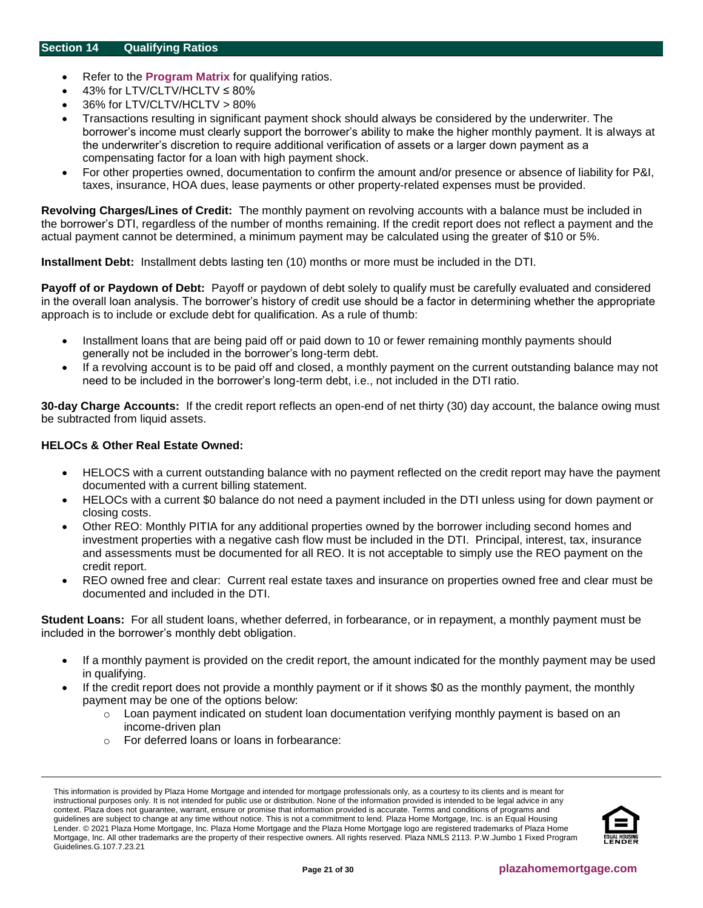- <span id="page-20-0"></span>• Refer to the **[Program Matrix](#page-1-0)** for qualifying ratios.
- 43% for LTV/CLTV/HCLTV ≤ 80%
- 36% for LTV/CLTV/HCLTV > 80%
- Transactions resulting in significant payment shock should always be considered by the underwriter. The borrower's income must clearly support the borrower's ability to make the higher monthly payment. It is always at the underwriter's discretion to require additional verification of assets or a larger down payment as a compensating factor for a loan with high payment shock.
- For other properties owned, documentation to confirm the amount and/or presence or absence of liability for P&I, taxes, insurance, HOA dues, lease payments or other property-related expenses must be provided.

**Revolving Charges/Lines of Credit:** The monthly payment on revolving accounts with a balance must be included in the borrower's DTI, regardless of the number of months remaining. If the credit report does not reflect a payment and the actual payment cannot be determined, a minimum payment may be calculated using the greater of \$10 or 5%.

**Installment Debt:** Installment debts lasting ten (10) months or more must be included in the DTI.

**Payoff of or Paydown of Debt:** Payoff or paydown of debt solely to qualify must be carefully evaluated and considered in the overall loan analysis. The borrower's history of credit use should be a factor in determining whether the appropriate approach is to include or exclude debt for qualification. As a rule of thumb:

- Installment loans that are being paid off or paid down to 10 or fewer remaining monthly payments should generally not be included in the borrower's long-term debt.
- If a revolving account is to be paid off and closed, a monthly payment on the current outstanding balance may not need to be included in the borrower's long-term debt, i.e., not included in the DTI ratio.

**30-day Charge Accounts:** If the credit report reflects an open-end of net thirty (30) day account, the balance owing must be subtracted from liquid assets.

# **HELOCs & Other Real Estate Owned:**

- HELOCS with a current outstanding balance with no payment reflected on the credit report may have the payment documented with a current billing statement.
- HELOCs with a current \$0 balance do not need a payment included in the DTI unless using for down payment or closing costs.
- Other REO: Monthly PITIA for any additional properties owned by the borrower including second homes and investment properties with a negative cash flow must be included in the DTI. Principal, interest, tax, insurance and assessments must be documented for all REO. It is not acceptable to simply use the REO payment on the credit report.
- REO owned free and clear: Current real estate taxes and insurance on properties owned free and clear must be documented and included in the DTI.

**Student Loans:** For all student loans, whether deferred, in forbearance, or in repayment, a monthly payment must be included in the borrower's monthly debt obligation.

- If a monthly payment is provided on the credit report, the amount indicated for the monthly payment may be used in qualifying.
- If the credit report does not provide a monthly payment or if it shows \$0 as the monthly payment, the monthly payment may be one of the options below:
	- $\circ$  Loan payment indicated on student loan documentation verifying monthly payment is based on an income-driven plan
	- o For deferred loans or loans in forbearance:

This information is provided by Plaza Home Mortgage and intended for mortgage professionals only, as a courtesy to its clients and is meant for instructional purposes only. It is not intended for public use or distribution. None of the information provided is intended to be legal advice in any context. Plaza does not guarantee, warrant, ensure or promise that information provided is accurate. Terms and conditions of programs and guidelines are subject to change at any time without notice. This is not a commitment to lend. Plaza Home Mortgage, Inc. is an Equal Housing Lender. © 2021 Plaza Home Mortgage, Inc. Plaza Home Mortgage and the Plaza Home Mortgage logo are registered trademarks of Plaza Home Mortgage, Inc. All other trademarks are the property of their respective owners. All rights reserved. Plaza NMLS 2113. P.W.Jumbo 1 Fixed Program Guidelines.G.107.7.23.21

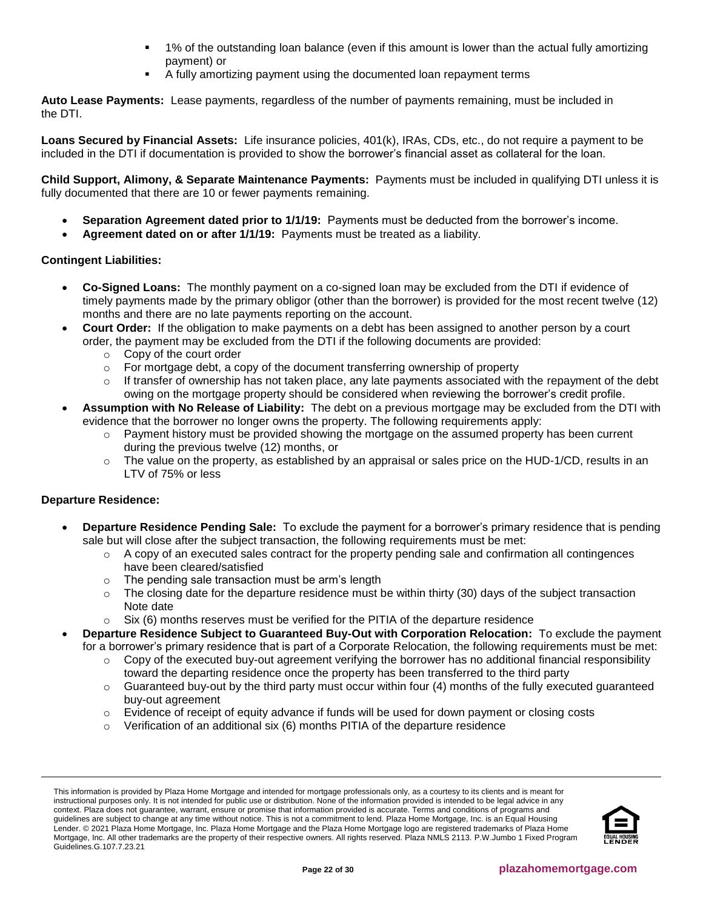- 1% of the outstanding loan balance (even if this amount is lower than the actual fully amortizing payment) or
- A fully amortizing payment using the documented loan repayment terms

**Auto Lease Payments:** Lease payments, regardless of the number of payments remaining, must be included in the DTI.

**Loans Secured by Financial Assets:** Life insurance policies, 401(k), IRAs, CDs, etc., do not require a payment to be included in the DTI if documentation is provided to show the borrower's financial asset as collateral for the loan.

**Child Support, Alimony, & Separate Maintenance Payments:** Payments must be included in qualifying DTI unless it is fully documented that there are 10 or fewer payments remaining.

- **Separation Agreement dated prior to 1/1/19:** Payments must be deducted from the borrower's income.
- **Agreement dated on or after 1/1/19:** Payments must be treated as a liability.

# **Contingent Liabilities:**

- **Co-Signed Loans:** The monthly payment on a co-signed loan may be excluded from the DTI if evidence of timely payments made by the primary obligor (other than the borrower) is provided for the most recent twelve (12) months and there are no late payments reporting on the account.
- **Court Order:** If the obligation to make payments on a debt has been assigned to another person by a court order, the payment may be excluded from the DTI if the following documents are provided:
	- o Copy of the court order
	- $\circ$  For mortgage debt, a copy of the document transferring ownership of property
	- $\circ$  If transfer of ownership has not taken place, any late payments associated with the repayment of the debt owing on the mortgage property should be considered when reviewing the borrower's credit profile.
- **Assumption with No Release of Liability:** The debt on a previous mortgage may be excluded from the DTI with evidence that the borrower no longer owns the property. The following requirements apply:
	- $\circ$  Payment history must be provided showing the mortgage on the assumed property has been current during the previous twelve (12) months, or
	- $\circ$  The value on the property, as established by an appraisal or sales price on the HUD-1/CD, results in an LTV of 75% or less

# **Departure Residence:**

- **Departure Residence Pending Sale:** To exclude the payment for a borrower's primary residence that is pending sale but will close after the subject transaction, the following requirements must be met:
	- $\circ$  A copy of an executed sales contract for the property pending sale and confirmation all contingences have been cleared/satisfied
	- o The pending sale transaction must be arm's length
	- $\circ$  The closing date for the departure residence must be within thirty (30) days of the subject transaction Note date
	- $\circ$  Six (6) months reserves must be verified for the PITIA of the departure residence
- **Departure Residence Subject to Guaranteed Buy-Out with Corporation Relocation:** To exclude the payment for a borrower's primary residence that is part of a Corporate Relocation, the following requirements must be met:
	- o Copy of the executed buy-out agreement verifying the borrower has no additional financial responsibility toward the departing residence once the property has been transferred to the third party
	- $\circ$  Guaranteed buy-out by the third party must occur within four (4) months of the fully executed guaranteed buy-out agreement
	- $\circ$  Evidence of receipt of equity advance if funds will be used for down payment or closing costs
	- $\circ$  Verification of an additional six (6) months PITIA of the departure residence

This information is provided by Plaza Home Mortgage and intended for mortgage professionals only, as a courtesy to its clients and is meant for instructional purposes only. It is not intended for public use or distribution. None of the information provided is intended to be legal advice in any context. Plaza does not guarantee, warrant, ensure or promise that information provided is accurate. Terms and conditions of programs and guidelines are subject to change at any time without notice. This is not a commitment to lend. Plaza Home Mortgage, Inc. is an Equal Housing Lender. © 2021 Plaza Home Mortgage, Inc. Plaza Home Mortgage and the Plaza Home Mortgage logo are registered trademarks of Plaza Home Mortgage, Inc. All other trademarks are the property of their respective owners. All rights reserved. Plaza NMLS 2113. P.W.Jumbo 1 Fixed Program Guidelines.G.107.7.23.21

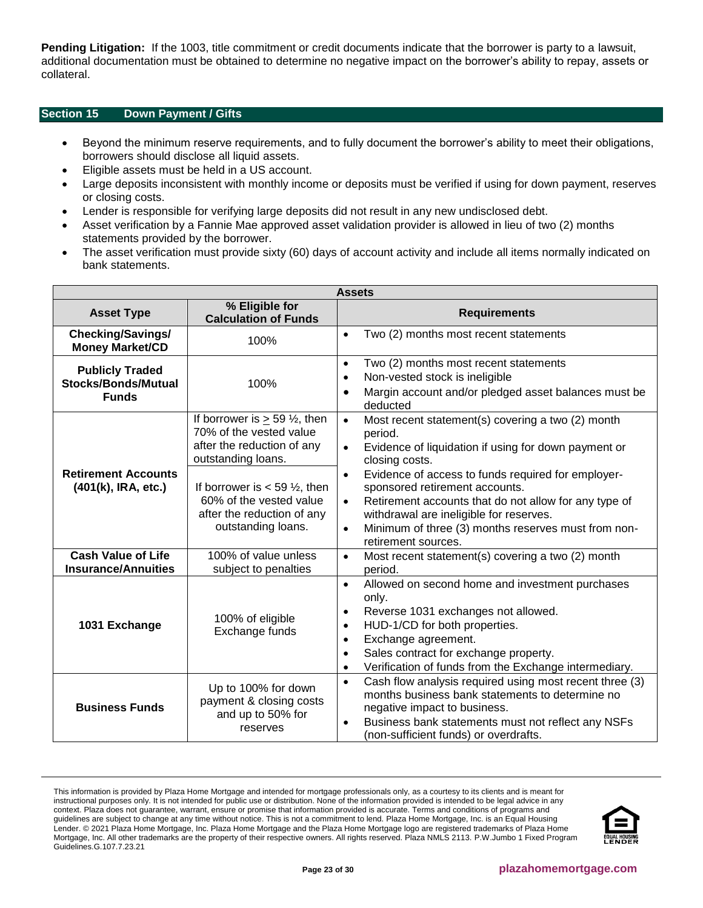**Pending Litigation:** If the 1003, title commitment or credit documents indicate that the borrower is party to a lawsuit, additional documentation must be obtained to determine no negative impact on the borrower's ability to repay, assets or collateral.

# <span id="page-22-0"></span>**Section 15 Down Payment / Gifts**

- Beyond the minimum reserve requirements, and to fully document the borrower's ability to meet their obligations, borrowers should disclose all liquid assets.
- Eligible assets must be held in a US account.
- Large deposits inconsistent with monthly income or deposits must be verified if using for down payment, reserves or closing costs.
- Lender is responsible for verifying large deposits did not result in any new undisclosed debt.
- Asset verification by a Fannie Mae approved asset validation provider is allowed in lieu of two (2) months statements provided by the borrower.
- The asset verification must provide sixty (60) days of account activity and include all items normally indicated on bank statements.

| <b>Assets</b>                                                        |                                                                                                                              |                                                                                                                                                                                                                                                                                                                                         |
|----------------------------------------------------------------------|------------------------------------------------------------------------------------------------------------------------------|-----------------------------------------------------------------------------------------------------------------------------------------------------------------------------------------------------------------------------------------------------------------------------------------------------------------------------------------|
| <b>Asset Type</b>                                                    | % Eligible for<br><b>Calculation of Funds</b>                                                                                | <b>Requirements</b>                                                                                                                                                                                                                                                                                                                     |
| <b>Checking/Savings/</b><br><b>Money Market/CD</b>                   | 100%                                                                                                                         | Two (2) months most recent statements<br>$\bullet$                                                                                                                                                                                                                                                                                      |
| <b>Publicly Traded</b><br><b>Stocks/Bonds/Mutual</b><br><b>Funds</b> | 100%                                                                                                                         | Two (2) months most recent statements<br>$\bullet$<br>Non-vested stock is ineligible<br>$\bullet$<br>Margin account and/or pledged asset balances must be<br>$\bullet$<br>deducted                                                                                                                                                      |
|                                                                      | If borrower is $\geq$ 59 $\frac{1}{2}$ , then<br>70% of the vested value<br>after the reduction of any<br>outstanding loans. | Most recent statement(s) covering a two (2) month<br>$\bullet$<br>period.<br>Evidence of liquidation if using for down payment or<br>$\bullet$<br>closing costs.                                                                                                                                                                        |
| <b>Retirement Accounts</b><br>(401(k), IRA, etc.)                    | If borrower is $<$ 59 $\frac{1}{2}$ , then<br>60% of the vested value<br>after the reduction of any<br>outstanding loans.    | Evidence of access to funds required for employer-<br>$\bullet$<br>sponsored retirement accounts.<br>Retirement accounts that do not allow for any type of<br>$\bullet$<br>withdrawal are ineligible for reserves.<br>Minimum of three (3) months reserves must from non-<br>$\bullet$<br>retirement sources.                           |
| <b>Cash Value of Life</b><br><b>Insurance/Annuities</b>              | 100% of value unless<br>subject to penalties                                                                                 | Most recent statement(s) covering a two (2) month<br>$\bullet$<br>period.                                                                                                                                                                                                                                                               |
| 1031 Exchange                                                        | 100% of eligible<br>Exchange funds                                                                                           | Allowed on second home and investment purchases<br>$\bullet$<br>only.<br>Reverse 1031 exchanges not allowed.<br>$\bullet$<br>HUD-1/CD for both properties.<br>$\bullet$<br>Exchange agreement.<br>$\bullet$<br>Sales contract for exchange property.<br>$\bullet$<br>Verification of funds from the Exchange intermediary.<br>$\bullet$ |
| <b>Business Funds</b>                                                | Up to 100% for down<br>payment & closing costs<br>and up to 50% for<br>reserves                                              | Cash flow analysis required using most recent three (3)<br>$\bullet$<br>months business bank statements to determine no<br>negative impact to business.<br>Business bank statements must not reflect any NSFs<br>$\bullet$<br>(non-sufficient funds) or overdrafts.                                                                     |

This information is provided by Plaza Home Mortgage and intended for mortgage professionals only, as a courtesy to its clients and is meant for instructional purposes only. It is not intended for public use or distribution. None of the information provided is intended to be legal advice in any context. Plaza does not guarantee, warrant, ensure or promise that information provided is accurate. Terms and conditions of programs and guidelines are subject to change at any time without notice. This is not a commitment to lend. Plaza Home Mortgage, Inc. is an Equal Housing Lender. © 2021 Plaza Home Mortgage, Inc. Plaza Home Mortgage and the Plaza Home Mortgage logo are registered trademarks of Plaza Home Mortgage, Inc. All other trademarks are the property of their respective owners. All rights reserved. Plaza NMLS 2113. P.W.Jumbo 1 Fixed Program Guidelines.G.107.7.23.21

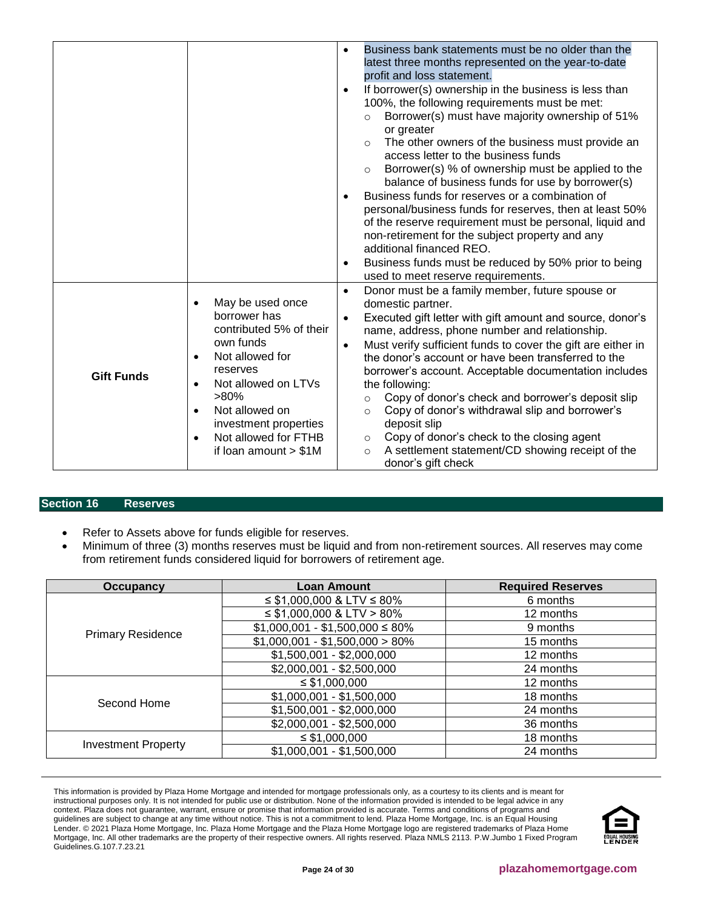|                   |                                                                                                                                                                                                                                                                                                         | Business bank statements must be no older than the<br>$\bullet$<br>latest three months represented on the year-to-date<br>profit and loss statement.<br>If borrower(s) ownership in the business is less than<br>$\bullet$<br>100%, the following requirements must be met:<br>Borrower(s) must have majority ownership of 51%<br>$\circ$<br>or greater                                                                                                                                                                                                                                                                                                                                                                |
|-------------------|---------------------------------------------------------------------------------------------------------------------------------------------------------------------------------------------------------------------------------------------------------------------------------------------------------|------------------------------------------------------------------------------------------------------------------------------------------------------------------------------------------------------------------------------------------------------------------------------------------------------------------------------------------------------------------------------------------------------------------------------------------------------------------------------------------------------------------------------------------------------------------------------------------------------------------------------------------------------------------------------------------------------------------------|
|                   |                                                                                                                                                                                                                                                                                                         | The other owners of the business must provide an<br>$\circ$<br>access letter to the business funds<br>Borrower(s) % of ownership must be applied to the<br>$\circ$<br>balance of business funds for use by borrower(s)<br>Business funds for reserves or a combination of<br>$\bullet$<br>personal/business funds for reserves, then at least 50%<br>of the reserve requirement must be personal, liquid and<br>non-retirement for the subject property and any<br>additional financed REO.<br>Business funds must be reduced by 50% prior to being<br>$\bullet$<br>used to meet reserve requirements.                                                                                                                 |
| <b>Gift Funds</b> | May be used once<br>$\bullet$<br>borrower has<br>contributed 5% of their<br>own funds<br>Not allowed for<br>$\bullet$<br>reserves<br>Not allowed on LTVs<br>$\bullet$<br>$>80\%$<br>Not allowed on<br>$\bullet$<br>investment properties<br>Not allowed for FTHB<br>$\bullet$<br>if loan amount $> $1M$ | Donor must be a family member, future spouse or<br>$\bullet$<br>domestic partner.<br>Executed gift letter with gift amount and source, donor's<br>$\bullet$<br>name, address, phone number and relationship.<br>Must verify sufficient funds to cover the gift are either in<br>$\bullet$<br>the donor's account or have been transferred to the<br>borrower's account. Acceptable documentation includes<br>the following:<br>Copy of donor's check and borrower's deposit slip<br>$\circ$<br>Copy of donor's withdrawal slip and borrower's<br>$\circ$<br>deposit slip<br>Copy of donor's check to the closing agent<br>$\circ$<br>A settlement statement/CD showing receipt of the<br>$\circ$<br>donor's gift check |

# <span id="page-23-0"></span>**Section 16 Reserves**

- Refer to Assets above for funds eligible for reserves.
- Minimum of three (3) months reserves must be liquid and from non-retirement sources. All reserves may come from retirement funds considered liquid for borrowers of retirement age.

| Occupancy                  | <b>Loan Amount</b>                  | <b>Required Reserves</b> |
|----------------------------|-------------------------------------|--------------------------|
| <b>Primary Residence</b>   | $\leq$ \$1,000,000 & LTV $\leq$ 80% | 6 months                 |
|                            | $\leq$ \$1,000,000 & LTV > 80%      | 12 months                |
|                            | $$1,000,001 - $1,500,000 \le 80\%$  | 9 months                 |
|                            | $$1,000,001 - $1,500,000 > 80\%$    | 15 months                |
|                            | $$1,500,001 - $2,000,000$           | 12 months                |
|                            | $$2,000,001 - $2,500,000$           | 24 months                |
| Second Home                | $\leq$ \$1,000,000                  | 12 months                |
|                            | $$1,000,001 - $1,500,000$           | 18 months                |
|                            | $$1,500,001 - $2,000,000$           | 24 months                |
|                            | $$2,000,001 - $2,500,000$           | 36 months                |
|                            | $\leq$ \$1,000,000                  | 18 months                |
| <b>Investment Property</b> | $$1,000,001 - $1,500,000$           | 24 months                |

This information is provided by Plaza Home Mortgage and intended for mortgage professionals only, as a courtesy to its clients and is meant for instructional purposes only. It is not intended for public use or distribution. None of the information provided is intended to be legal advice in any context. Plaza does not guarantee, warrant, ensure or promise that information provided is accurate. Terms and conditions of programs and guidelines are subject to change at any time without notice. This is not a commitment to lend. Plaza Home Mortgage, Inc. is an Equal Housing Lender. © 2021 Plaza Home Mortgage, Inc. Plaza Home Mortgage and the Plaza Home Mortgage logo are registered trademarks of Plaza Home Mortgage, Inc. All other trademarks are the property of their respective owners. All rights reserved. Plaza NMLS 2113. P.W.Jumbo 1 Fixed Program Guidelines.G.107.7.23.21

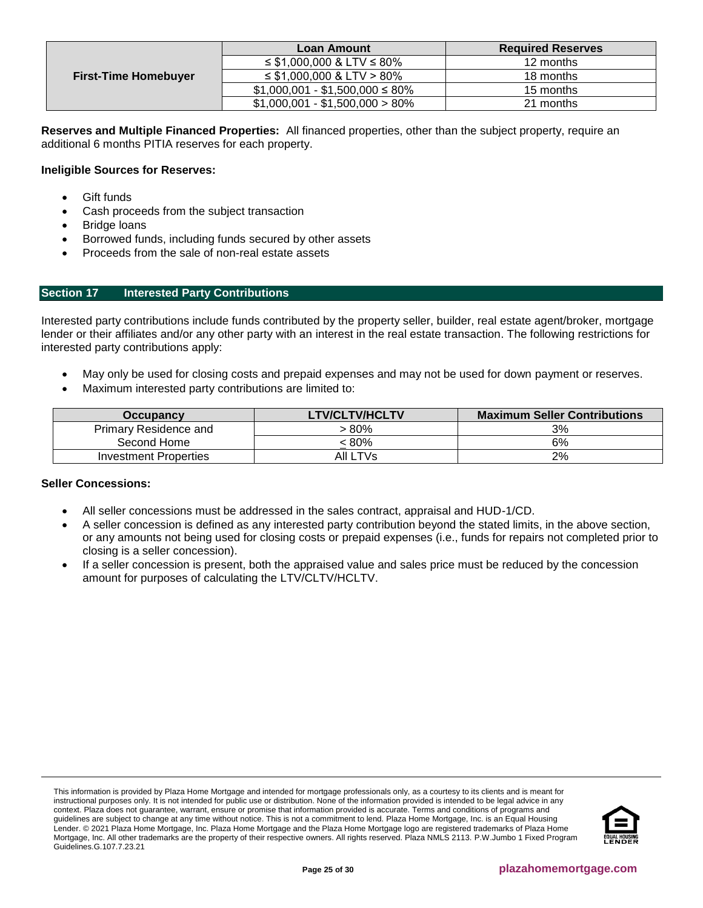|                             | <b>Loan Amount</b>                  | <b>Required Reserves</b> |
|-----------------------------|-------------------------------------|--------------------------|
|                             | $\leq$ \$1,000,000 & LTV $\leq$ 80% | 12 months                |
| <b>First-Time Homebuyer</b> | $\leq$ \$1,000,000 & LTV > 80%      | 18 months                |
|                             | $$1,000,001 - $1,500,000 \le 80\%$  | 15 months                |
|                             | $$1,000,001 - $1,500,000 > 80\%$    | 21 months                |

**Reserves and Multiple Financed Properties:** All financed properties, other than the subject property, require an additional 6 months PITIA reserves for each property.

# **Ineligible Sources for Reserves:**

- **Gift funds**
- Cash proceeds from the subject transaction
- Bridge loans
- Borrowed funds, including funds secured by other assets
- Proceeds from the sale of non-real estate assets

# <span id="page-24-0"></span>**Section 17 Interested Party Contributions**

Interested party contributions include funds contributed by the property seller, builder, real estate agent/broker, mortgage lender or their affiliates and/or any other party with an interest in the real estate transaction. The following restrictions for interested party contributions apply:

- May only be used for closing costs and prepaid expenses and may not be used for down payment or reserves.
- Maximum interested party contributions are limited to:

| Occupancy                    | <b>LTV/CLTV/HCLTV</b> | <b>Maximum Seller Contributions</b> |
|------------------------------|-----------------------|-------------------------------------|
| <b>Primary Residence and</b> | 80% >                 | 3%                                  |
| Second Home                  | : 80%                 | 6%                                  |
| Investment Properties        | AII LTVs              | 2%                                  |

# **Seller Concessions:**

- All seller concessions must be addressed in the sales contract, appraisal and HUD-1/CD.
- A seller concession is defined as any interested party contribution beyond the stated limits, in the above section, or any amounts not being used for closing costs or prepaid expenses (i.e., funds for repairs not completed prior to closing is a seller concession).
- If a seller concession is present, both the appraised value and sales price must be reduced by the concession amount for purposes of calculating the LTV/CLTV/HCLTV.

This information is provided by Plaza Home Mortgage and intended for mortgage professionals only, as a courtesy to its clients and is meant for instructional purposes only. It is not intended for public use or distribution. None of the information provided is intended to be legal advice in any context. Plaza does not guarantee, warrant, ensure or promise that information provided is accurate. Terms and conditions of programs and guidelines are subject to change at any time without notice. This is not a commitment to lend. Plaza Home Mortgage, Inc. is an Equal Housing Lender. © 2021 Plaza Home Mortgage, Inc. Plaza Home Mortgage and the Plaza Home Mortgage logo are registered trademarks of Plaza Home Mortgage, Inc. All other trademarks are the property of their respective owners. All rights reserved. Plaza NMLS 2113. P.W.Jumbo 1 Fixed Program Guidelines.G.107.7.23.21

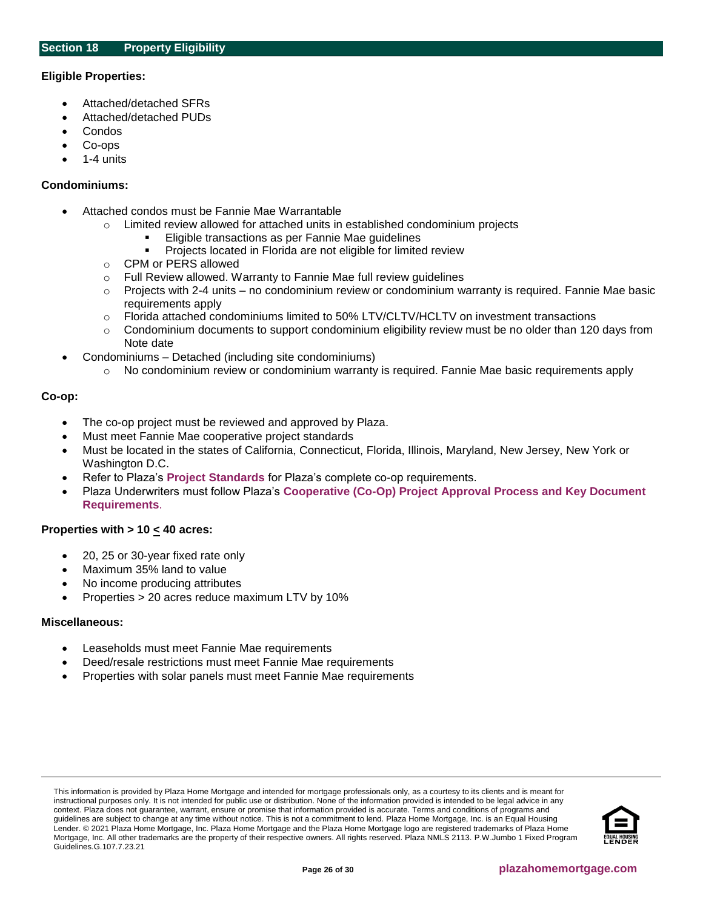# <span id="page-25-0"></span>**Eligible Properties:**

- Attached/detached SFRs
- Attached/detached PUDs
- Condos
- Co-ops
- 1-4 units

#### **Condominiums:**

- Attached condos must be Fannie Mae Warrantable
	- o Limited review allowed for attached units in established condominium projects
		- Eligible transactions as per Fannie Mae guidelines
			- Projects located in Florida are not eligible for limited review
	- o CPM or PERS allowed
	- o Full Review allowed. Warranty to Fannie Mae full review guidelines
	- $\circ$  Projects with 2-4 units no condominium review or condominium warranty is required. Fannie Mae basic requirements apply
	- o Florida attached condominiums limited to 50% LTV/CLTV/HCLTV on investment transactions
	- $\circ$  Condominium documents to support condominium eligibility review must be no older than 120 days from Note date
- Condominiums Detached (including site condominiums)
	- No condominium review or condominium warranty is required. Fannie Mae basic requirements apply

# **Co-op:**

- The co-op project must be reviewed and approved by Plaza.
- Must meet Fannie Mae cooperative project standards
- Must be located in the states of California, Connecticut, Florida, Illinois, Maryland, New Jersey, New York or Washington D.C.
- Refer to Plaza's **[Project Standards](https://resourcecenter.plazahomemortgage.com/PHMIDocPublisher.nsf/All/1C8504812F19222A07257D6B006262D7?OpenDocument)** for Plaza's complete co-op requirements.
- Plaza Underwriters must follow Plaza's **[Cooperative \(Co-Op\) Project Approval Process and Key Document](https://resourcecenter.plazahomemortgage.com/PHMIDocPublisher.nsf/0/2DA21D6DDDC485C407257D5C00693834)  [Requirements](https://resourcecenter.plazahomemortgage.com/PHMIDocPublisher.nsf/0/2DA21D6DDDC485C407257D5C00693834)**.

# **Properties with > 10 < 40 acres:**

- 20, 25 or 30-year fixed rate only
- Maximum 35% land to value
- No income producing attributes
- Properties > 20 acres reduce maximum LTV by 10%

#### **Miscellaneous:**

- Leaseholds must meet Fannie Mae requirements
- Deed/resale restrictions must meet Fannie Mae requirements
- Properties with solar panels must meet Fannie Mae requirements

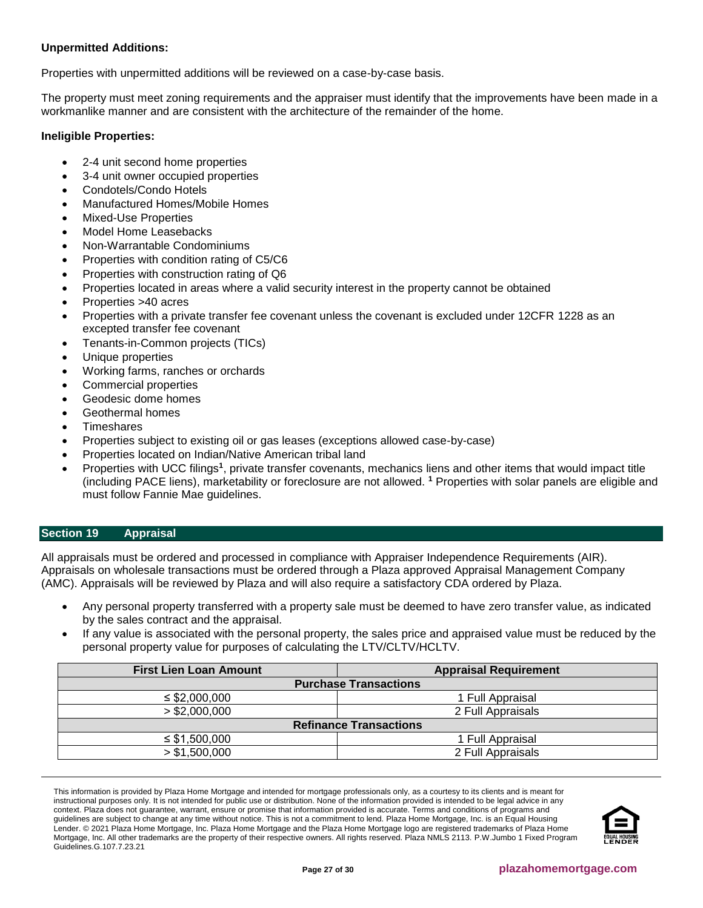# **Unpermitted Additions:**

Properties with unpermitted additions will be reviewed on a case-by-case basis.

The property must meet zoning requirements and the appraiser must identify that the improvements have been made in a workmanlike manner and are consistent with the architecture of the remainder of the home.

# **Ineligible Properties:**

- 2-4 unit second home properties
- 3-4 unit owner occupied properties
- Condotels/Condo Hotels
- Manufactured Homes/Mobile Homes
- Mixed-Use Properties
- Model Home Leasebacks
- Non-Warrantable Condominiums
- Properties with condition rating of C5/C6
- Properties with construction rating of Q6
- Properties located in areas where a valid security interest in the property cannot be obtained
- Properties >40 acres
- Properties with a private transfer fee covenant unless the covenant is excluded under 12CFR 1228 as an excepted transfer fee covenant
- Tenants-in-Common projects (TICs)
- Unique properties
- Working farms, ranches or orchards
- Commercial properties
- Geodesic dome homes
- Geothermal homes
- **Timeshares**
- Properties subject to existing oil or gas leases (exceptions allowed case-by-case)
- Properties located on Indian/Native American tribal land
- Properties with UCC filings<sup>1</sup>, private transfer covenants, mechanics liens and other items that would impact title (including PACE liens), marketability or foreclosure are not allowed. **<sup>1</sup>** Properties with solar panels are eligible and must follow Fannie Mae guidelines.

# <span id="page-26-0"></span>**Section 19 Appraisal**

All appraisals must be ordered and processed in compliance with Appraiser Independence Requirements (AIR). Appraisals on wholesale transactions must be ordered through a Plaza approved Appraisal Management Company (AMC). Appraisals will be reviewed by Plaza and will also require a satisfactory CDA ordered by Plaza.

- Any personal property transferred with a property sale must be deemed to have zero transfer value, as indicated by the sales contract and the appraisal.
- If any value is associated with the personal property, the sales price and appraised value must be reduced by the personal property value for purposes of calculating the LTV/CLTV/HCLTV.

| <b>First Lien Loan Amount</b> | <b>Appraisal Requirement</b> |  |  |
|-------------------------------|------------------------------|--|--|
| <b>Purchase Transactions</b>  |                              |  |  |
| $\leq$ \$2,000,000            | 1 Full Appraisal             |  |  |
| > \$2,000,000                 | 2 Full Appraisals            |  |  |
| <b>Refinance Transactions</b> |                              |  |  |
| $\leq$ \$1,500,000            | 1 Full Appraisal             |  |  |
| > \$1,500,000                 | 2 Full Appraisals            |  |  |

This information is provided by Plaza Home Mortgage and intended for mortgage professionals only, as a courtesy to its clients and is meant for instructional purposes only. It is not intended for public use or distribution. None of the information provided is intended to be legal advice in any context. Plaza does not guarantee, warrant, ensure or promise that information provided is accurate. Terms and conditions of programs and guidelines are subject to change at any time without notice. This is not a commitment to lend. Plaza Home Mortgage, Inc. is an Equal Housing Lender. © 2021 Plaza Home Mortgage, Inc. Plaza Home Mortgage and the Plaza Home Mortgage logo are registered trademarks of Plaza Home Mortgage, Inc. All other trademarks are the property of their respective owners. All rights reserved. Plaza NMLS 2113. P.W.Jumbo 1 Fixed Program Guidelines.G.107.7.23.21

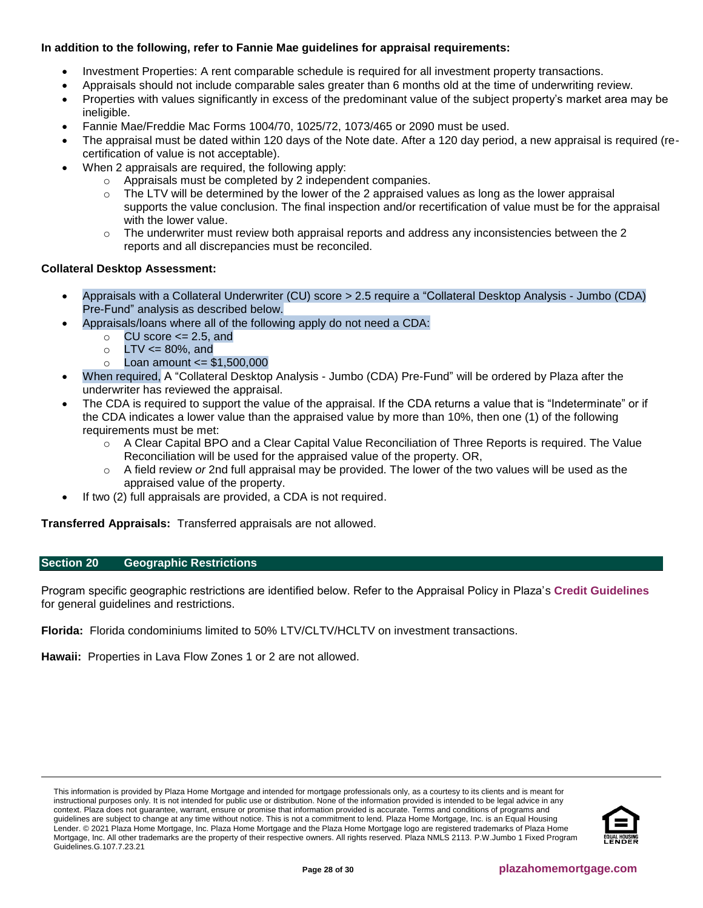# **In addition to the following, refer to Fannie Mae guidelines for appraisal requirements:**

- Investment Properties: A rent comparable schedule is required for all investment property transactions.
	- Appraisals should not include comparable sales greater than 6 months old at the time of underwriting review.
- Properties with values significantly in excess of the predominant value of the subject property's market area may be ineligible.
- Fannie Mae/Freddie Mac Forms 1004/70, 1025/72, 1073/465 or 2090 must be used.
- The appraisal must be dated within 120 days of the Note date. After a 120 day period, a new appraisal is required (recertification of value is not acceptable).
- When 2 appraisals are required, the following apply:
	- o Appraisals must be completed by 2 independent companies.
	- $\circ$  The LTV will be determined by the lower of the 2 appraised values as long as the lower appraisal supports the value conclusion. The final inspection and/or recertification of value must be for the appraisal with the lower value.
	- $\circ$  The underwriter must review both appraisal reports and address any inconsistencies between the 2 reports and all discrepancies must be reconciled.

# **Collateral Desktop Assessment:**

- Appraisals with a Collateral Underwriter (CU) score > 2.5 require a "Collateral Desktop Analysis Jumbo (CDA) Pre-Fund" analysis as described below.
- Appraisals/loans where all of the following apply do not need a CDA:
	- $\circ$  CU score  $\leq$  2.5, and
	- $\circ$  LTV  $\leq$  80%, and
	- $\circ$  Loan amount  $\leq$  \$1,500,000
- When required, A "Collateral Desktop Analysis Jumbo (CDA) Pre-Fund" will be ordered by Plaza after the underwriter has reviewed the appraisal.
- The CDA is required to support the value of the appraisal. If the CDA returns a value that is "Indeterminate" or if the CDA indicates a lower value than the appraised value by more than 10%, then one (1) of the following requirements must be met:
	- $\circ$  A Clear Capital BPO and a Clear Capital Value Reconciliation of Three Reports is required. The Value Reconciliation will be used for the appraised value of the property. OR,
	- o A field review *or* 2nd full appraisal may be provided. The lower of the two values will be used as the appraised value of the property.
- If two (2) full appraisals are provided, a CDA is not required.

**Transferred Appraisals:** Transferred appraisals are not allowed.

# <span id="page-27-0"></span>**Section 20 Geographic Restrictions**

Program specific geographic restrictions are identified below. Refer to the Appraisal Policy in Plaza's **[Credit Guidelines](https://resourcecenter.plazahomemortgage.com/phmidocpublisher.nsf/All/EC8A4379A5DA48C807257CBC0054308F?OpenDocument)** for general guidelines and restrictions.

**Florida:** Florida condominiums limited to 50% LTV/CLTV/HCLTV on investment transactions.

**Hawaii:** Properties in Lava Flow Zones 1 or 2 are not allowed.

This information is provided by Plaza Home Mortgage and intended for mortgage professionals only, as a courtesy to its clients and is meant for instructional purposes only. It is not intended for public use or distribution. None of the information provided is intended to be legal advice in any context. Plaza does not guarantee, warrant, ensure or promise that information provided is accurate. Terms and conditions of programs and guidelines are subject to change at any time without notice. This is not a commitment to lend. Plaza Home Mortgage, Inc. is an Equal Housing Lender. © 2021 Plaza Home Mortgage, Inc. Plaza Home Mortgage and the Plaza Home Mortgage logo are registered trademarks of Plaza Home Mortgage, Inc. All other trademarks are the property of their respective owners. All rights reserved. Plaza NMLS 2113. P.W.Jumbo 1 Fixed Program Guidelines.G.107.7.23.21

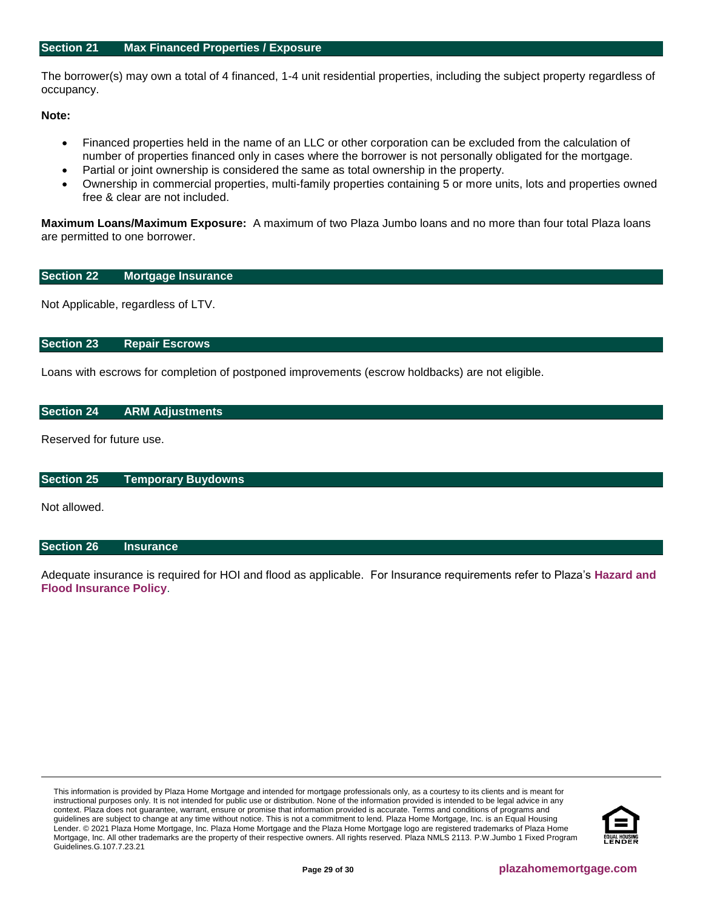<span id="page-28-0"></span>The borrower(s) may own a total of 4 financed, 1-4 unit residential properties, including the subject property regardless of occupancy.

**Note:**

- Financed properties held in the name of an LLC or other corporation can be excluded from the calculation of number of properties financed only in cases where the borrower is not personally obligated for the mortgage.
- Partial or joint ownership is considered the same as total ownership in the property.
- Ownership in commercial properties, multi-family properties containing 5 or more units, lots and properties owned free & clear are not included.

**Maximum Loans/Maximum Exposure:** A maximum of two Plaza Jumbo loans and no more than four total Plaza loans are permitted to one borrower.

# <span id="page-28-1"></span>**Section 22 Mortgage Insurance**

Not Applicable, regardless of LTV.

# <span id="page-28-2"></span>**Section 23 Repair Escrows**

Loans with escrows for completion of postponed improvements (escrow holdbacks) are not eligible.

# <span id="page-28-3"></span>**Section 24 ARM Adjustments**

Reserved for future use.

# <span id="page-28-4"></span>**Section 25 Temporary Buydowns**

Not allowed.

# <span id="page-28-5"></span>**Section 26 Insurance**

Adequate insurance is required for HOI and flood as applicable. For Insurance requirements refer to Plaza's **[Hazard and](https://resourcecenter.plazahomemortgage.com/phmidocpublisher.nsf/All/EA7A154EFC54769007257E6E004CE5FA?OpenDocument)  [Flood Insurance Policy](https://resourcecenter.plazahomemortgage.com/phmidocpublisher.nsf/All/EA7A154EFC54769007257E6E004CE5FA?OpenDocument)**.

This information is provided by Plaza Home Mortgage and intended for mortgage professionals only, as a courtesy to its clients and is meant for instructional purposes only. It is not intended for public use or distribution. None of the information provided is intended to be legal advice in any context. Plaza does not guarantee, warrant, ensure or promise that information provided is accurate. Terms and conditions of programs and guidelines are subject to change at any time without notice. This is not a commitment to lend. Plaza Home Mortgage, Inc. is an Equal Housing Lender. © 2021 Plaza Home Mortgage, Inc. Plaza Home Mortgage and the Plaza Home Mortgage logo are registered trademarks of Plaza Home Mortgage, Inc. All other trademarks are the property of their respective owners. All rights reserved. Plaza NMLS 2113. P.W.Jumbo 1 Fixed Program Guidelines.G.107.7.23.21